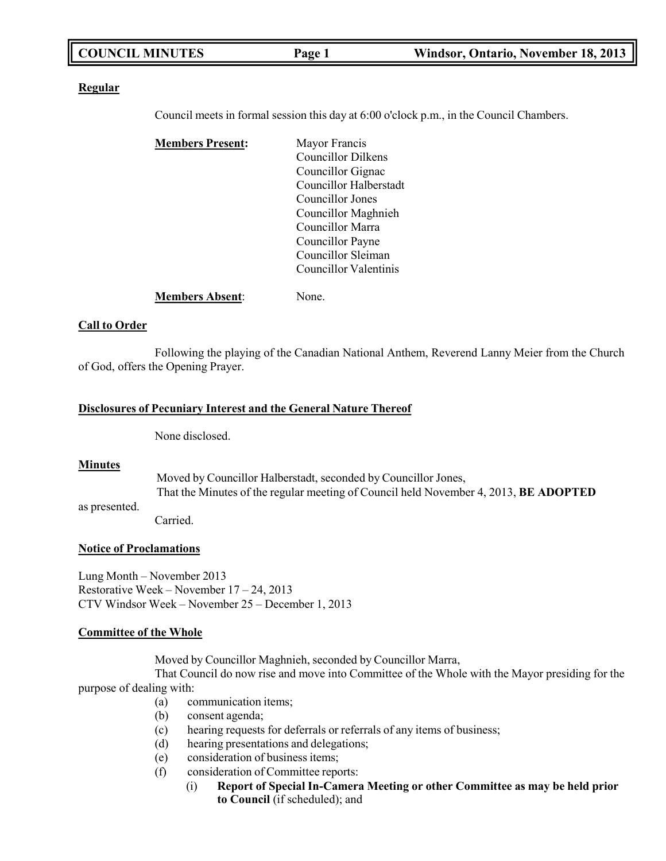|  | <b>COUNCIL MINUTES</b> | Page 1 | Windsor, Ontario, November 18, 2013 |
|--|------------------------|--------|-------------------------------------|
|--|------------------------|--------|-------------------------------------|

#### **Regular**

Council meets in formal session this day at 6:00 o'clock p.m., in the Council Chambers.

| <b>Members Present:</b> | Mayor Francis             |
|-------------------------|---------------------------|
|                         | <b>Councillor Dilkens</b> |
|                         | Councillor Gignac         |
|                         | Councillor Halberstadt    |
|                         | Councillor Jones          |
|                         | Councillor Maghnieh       |
|                         | Councillor Marra          |
|                         | Councillor Payne          |
|                         | Councillor Sleiman        |
|                         | Councillor Valentinis     |
| <b>Members Absent:</b>  | None.                     |

#### **Call to Order**

Following the playing of the Canadian National Anthem, Reverend Lanny Meier from the Church of God, offers the Opening Prayer.

#### **Disclosures of Pecuniary Interest and the General Nature Thereof**

None disclosed.

#### **Minutes**

as presented.

Moved by Councillor Halberstadt, seconded by Councillor Jones, That the Minutes of the regular meeting of Council held November 4, 2013, **BE ADOPTED**

Carried.

#### **Notice of Proclamations**

Lung Month – November 2013 Restorative Week – November 17 – 24, 2013 CTV Windsor Week – November 25 – December 1, 2013

#### **Committee of the Whole**

Moved by Councillor Maghnieh, seconded by Councillor Marra,

That Council do now rise and move into Committee of the Whole with the Mayor presiding for the purpose of dealing with:

- (a) communication items;
- (b) consent agenda;
- (c) hearing requests for deferrals or referrals of any items of business;
- (d) hearing presentations and delegations;
- (e) consideration of business items;
- (f) consideration of Committee reports:
	- (i) **Report of Special In-Camera Meeting or other Committee as may be held prior to Council** (if scheduled); and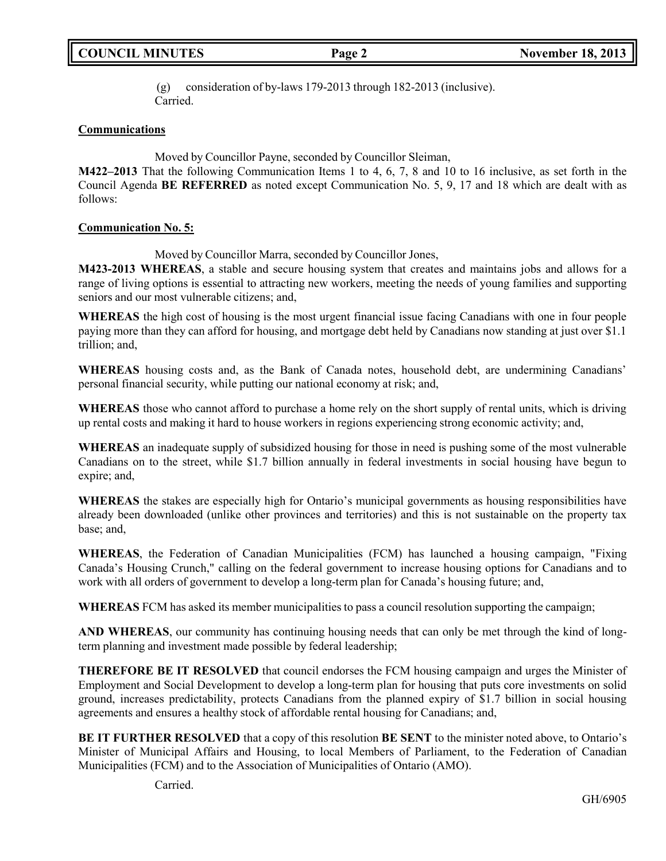(g) consideration of by-laws 179-2013 through 182-2013 (inclusive). Carried.

### **Communications**

Moved by Councillor Payne, seconded by Councillor Sleiman,

**M422–2013** That the following Communication Items 1 to 4, 6, 7, 8 and 10 to 16 inclusive, as set forth in the Council Agenda **BE REFERRED** as noted except Communication No. 5, 9, 17 and 18 which are dealt with as follows:

#### **Communication No. 5:**

Moved by Councillor Marra, seconded by Councillor Jones,

**M423-2013 WHEREAS**, a stable and secure housing system that creates and maintains jobs and allows for a range of living options is essential to attracting new workers, meeting the needs of young families and supporting seniors and our most vulnerable citizens; and,

**WHEREAS** the high cost of housing is the most urgent financial issue facing Canadians with one in four people paying more than they can afford for housing, and mortgage debt held by Canadians now standing at just over \$1.1 trillion; and,

**WHEREAS** housing costs and, as the Bank of Canada notes, household debt, are undermining Canadians' personal financial security, while putting our national economy at risk; and,

**WHEREAS** those who cannot afford to purchase a home rely on the short supply of rental units, which is driving up rental costs and making it hard to house workers in regions experiencing strong economic activity; and,

**WHEREAS** an inadequate supply of subsidized housing for those in need is pushing some of the most vulnerable Canadians on to the street, while \$1.7 billion annually in federal investments in social housing have begun to expire; and,

**WHEREAS** the stakes are especially high for Ontario's municipal governments as housing responsibilities have already been downloaded (unlike other provinces and territories) and this is not sustainable on the property tax base; and,

**WHEREAS**, the Federation of Canadian Municipalities (FCM) has launched a housing campaign, "Fixing Canada's Housing Crunch," calling on the federal government to increase housing options for Canadians and to work with all orders of government to develop a long-term plan for Canada's housing future; and,

**WHEREAS** FCM has asked its member municipalities to pass a council resolution supporting the campaign;

**AND WHEREAS**, our community has continuing housing needs that can only be met through the kind of longterm planning and investment made possible by federal leadership;

**THEREFORE BE IT RESOLVED** that council endorses the FCM housing campaign and urges the Minister of Employment and Social Development to develop a long-term plan for housing that puts core investments on solid ground, increases predictability, protects Canadians from the planned expiry of \$1.7 billion in social housing agreements and ensures a healthy stock of affordable rental housing for Canadians; and,

**BE IT FURTHER RESOLVED** that a copy of this resolution **BE SENT** to the minister noted above, to Ontario's Minister of Municipal Affairs and Housing, to local Members of Parliament, to the Federation of Canadian Municipalities (FCM) and to the Association of Municipalities of Ontario (AMO).

Carried.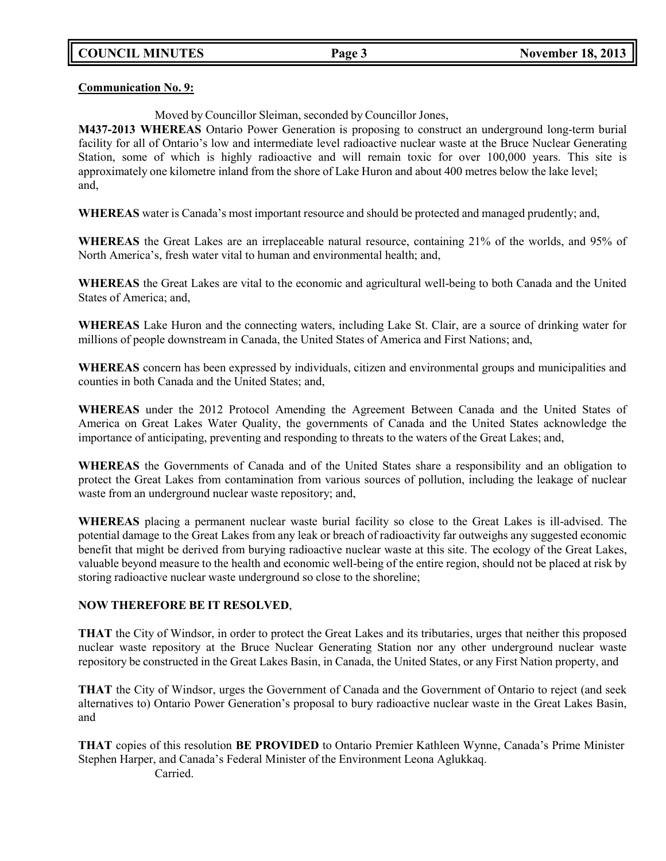**Communication No. 9:**

Moved by Councillor Sleiman, seconded by Councillor Jones,

**M437-2013 WHEREAS** Ontario Power Generation is proposing to construct an underground long-term burial facility for all of Ontario's low and intermediate level radioactive nuclear waste at the Bruce Nuclear Generating Station, some of which is highly radioactive and will remain toxic for over 100,000 years. This site is approximately one kilometre inland from the shore of Lake Huron and about 400 metres below the lake level; and,

**WHEREAS** water is Canada's most important resource and should be protected and managed prudently; and,

**WHEREAS** the Great Lakes are an irreplaceable natural resource, containing 21% of the worlds, and 95% of North America's, fresh water vital to human and environmental health; and,

**WHEREAS** the Great Lakes are vital to the economic and agricultural well-being to both Canada and the United States of America; and,

**WHEREAS** Lake Huron and the connecting waters, including Lake St. Clair, are a source of drinking water for millions of people downstream in Canada, the United States of America and First Nations; and,

**WHEREAS** concern has been expressed by individuals, citizen and environmental groups and municipalities and counties in both Canada and the United States; and,

**WHEREAS** under the 2012 Protocol Amending the Agreement Between Canada and the United States of America on Great Lakes Water Quality, the governments of Canada and the United States acknowledge the importance of anticipating, preventing and responding to threats to the waters of the Great Lakes; and,

**WHEREAS** the Governments of Canada and of the United States share a responsibility and an obligation to protect the Great Lakes from contamination from various sources of pollution, including the leakage of nuclear waste from an underground nuclear waste repository; and,

**WHEREAS** placing a permanent nuclear waste burial facility so close to the Great Lakes is ill-advised. The potential damage to the Great Lakes from any leak or breach of radioactivity far outweighs any suggested economic benefit that might be derived from burying radioactive nuclear waste at this site. The ecology of the Great Lakes, valuable beyond measure to the health and economic well-being of the entire region, should not be placed at risk by storing radioactive nuclear waste underground so close to the shoreline;

### **NOW THEREFORE BE IT RESOLVED**,

**THAT** the City of Windsor, in order to protect the Great Lakes and its tributaries, urges that neither this proposed nuclear waste repository at the Bruce Nuclear Generating Station nor any other underground nuclear waste repository be constructed in the Great Lakes Basin, in Canada, the United States, or any First Nation property, and

**THAT** the City of Windsor, urges the Government of Canada and the Government of Ontario to reject (and seek alternatives to) Ontario Power Generation's proposal to bury radioactive nuclear waste in the Great Lakes Basin, and

**THAT** copies of this resolution **BE PROVIDED** to Ontario Premier Kathleen Wynne, Canada's Prime Minister Stephen Harper, and Canada's Federal Minister of the Environment Leona Aglukkaq. Carried.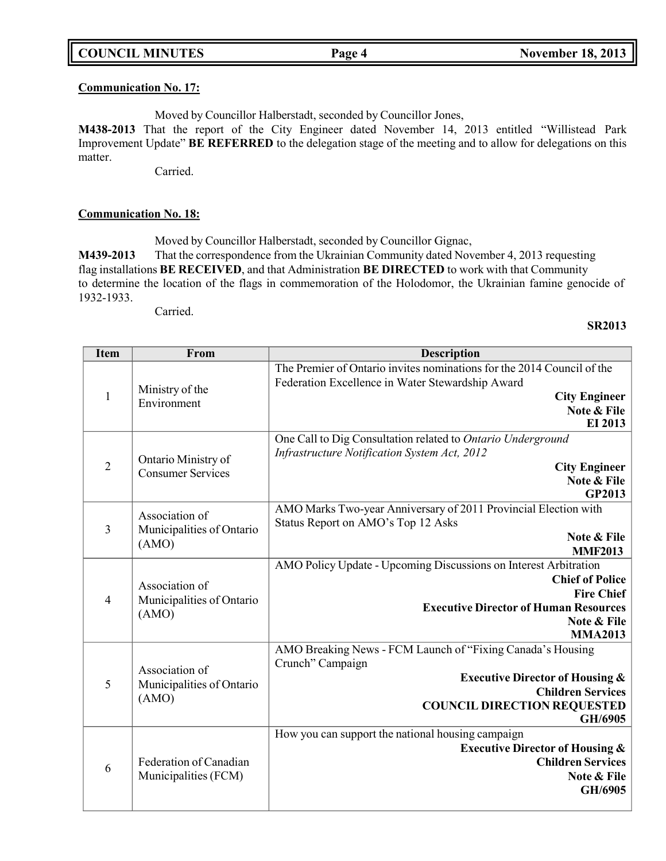|  | <b>COUNCIL MINUTES</b> |
|--|------------------------|
|--|------------------------|

#### **Communication No. 17:**

Moved by Councillor Halberstadt, seconded by Councillor Jones,

**M438-2013** That the report of the City Engineer dated November 14, 2013 entitled "Willistead Park Improvement Update" **BE REFERRED** to the delegation stage of the meeting and to allow for delegations on this matter.

Carried.

#### **Communication No. 18:**

Moved by Councillor Halberstadt, seconded by Councillor Gignac,

**M439-2013** That the correspondence from the Ukrainian Community dated November 4, 2013 requesting flag installations **BE RECEIVED**, and that Administration **BE DIRECTED** to work with that Community to determine the location of the flags in commemoration of the Holodomor, the Ukrainian famine genocide of 1932-1933.

Carried.

#### **SR2013**

| <b>Item</b>                 | From                                                 | <b>Description</b>                                                                                                                                                                                        |
|-----------------------------|------------------------------------------------------|-----------------------------------------------------------------------------------------------------------------------------------------------------------------------------------------------------------|
|                             | Ministry of the                                      | The Premier of Ontario invites nominations for the 2014 Council of the<br>Federation Excellence in Water Stewardship Award                                                                                |
| $\mathbf{1}$<br>Environment |                                                      | <b>City Engineer</b><br>Note & File<br>EI 2013                                                                                                                                                            |
| $\overline{2}$              | Ontario Ministry of<br><b>Consumer Services</b>      | One Call to Dig Consultation related to Ontario Underground<br>Infrastructure Notification System Act, 2012<br><b>City Engineer</b><br>Note & File<br><b>GP2013</b>                                       |
| $\overline{3}$              | Association of<br>Municipalities of Ontario<br>(AMO) | AMO Marks Two-year Anniversary of 2011 Provincial Election with<br>Status Report on AMO's Top 12 Asks<br>Note & File<br><b>MMF2013</b>                                                                    |
| $\overline{4}$              | Association of<br>Municipalities of Ontario<br>(AMO) | AMO Policy Update - Upcoming Discussions on Interest Arbitration<br><b>Chief of Police</b><br><b>Fire Chief</b><br><b>Executive Director of Human Resources</b><br>Note & File<br><b>MMA2013</b>          |
| 5                           | Association of<br>Municipalities of Ontario<br>(AMO) | AMO Breaking News - FCM Launch of "Fixing Canada's Housing<br>Crunch" Campaign<br><b>Executive Director of Housing &amp;</b><br><b>Children Services</b><br><b>COUNCIL DIRECTION REQUESTED</b><br>GH/6905 |
| 6                           | Federation of Canadian<br>Municipalities (FCM)       | How you can support the national housing campaign<br><b>Executive Director of Housing &amp;</b><br><b>Children Services</b><br>Note & File<br>GH/6905                                                     |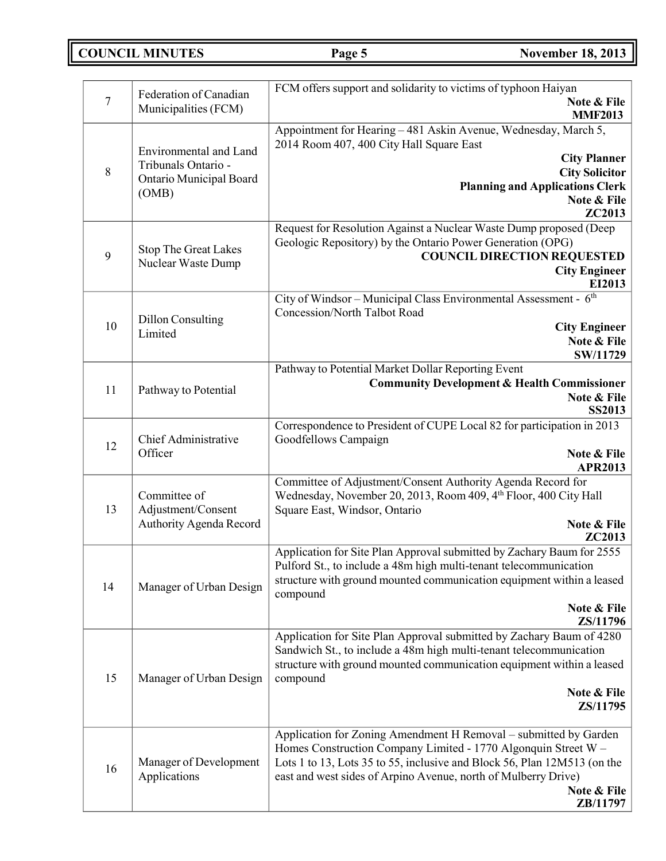**COUNCIL MINUTES Page 5 November 18, 2013** 

| $\overline{7}$ | Federation of Canadian<br>Municipalities (FCM)                                    | FCM offers support and solidarity to victims of typhoon Haiyan<br>Note & File<br><b>MMF2013</b>                                                                                                                                                                                                             |
|----------------|-----------------------------------------------------------------------------------|-------------------------------------------------------------------------------------------------------------------------------------------------------------------------------------------------------------------------------------------------------------------------------------------------------------|
| 8              | Environmental and Land<br>Tribunals Ontario -<br>Ontario Municipal Board<br>(OMB) | Appointment for Hearing - 481 Askin Avenue, Wednesday, March 5,<br>2014 Room 407, 400 City Hall Square East<br><b>City Planner</b><br><b>City Solicitor</b><br><b>Planning and Applications Clerk</b><br>Note & File<br>ZC2013                                                                              |
| 9              | <b>Stop The Great Lakes</b><br>Nuclear Waste Dump                                 | Request for Resolution Against a Nuclear Waste Dump proposed (Deep<br>Geologic Repository) by the Ontario Power Generation (OPG)<br><b>COUNCIL DIRECTION REQUESTED</b><br><b>City Engineer</b><br>EI2013                                                                                                    |
| 10             | <b>Dillon Consulting</b><br>Limited                                               | City of Windsor - Municipal Class Environmental Assessment - 6th<br>Concession/North Talbot Road<br><b>City Engineer</b><br>Note & File<br>SW/11729                                                                                                                                                         |
| 11             | Pathway to Potential                                                              | Pathway to Potential Market Dollar Reporting Event<br><b>Community Development &amp; Health Commissioner</b><br>Note & File<br><b>SS2013</b>                                                                                                                                                                |
| 12             | Chief Administrative<br>Officer                                                   | Correspondence to President of CUPE Local 82 for participation in 2013<br>Goodfellows Campaign<br>Note & File<br><b>APR2013</b>                                                                                                                                                                             |
| 13             | Committee of<br>Adjustment/Consent<br>Authority Agenda Record                     | Committee of Adjustment/Consent Authority Agenda Record for<br>Wednesday, November 20, 2013, Room 409, 4th Floor, 400 City Hall<br>Square East, Windsor, Ontario<br>Note & File<br><b>ZC2013</b>                                                                                                            |
| 14             | Manager of Urban Design                                                           | Application for Site Plan Approval submitted by Zachary Baum for 2555<br>Pulford St., to include a 48m high multi-tenant telecommunication<br>structure with ground mounted communication equipment within a leased<br>compound<br>Note & File<br>ZS/11796                                                  |
| 15             | Manager of Urban Design                                                           | Application for Site Plan Approval submitted by Zachary Baum of 4280<br>Sandwich St., to include a 48m high multi-tenant telecommunication<br>structure with ground mounted communication equipment within a leased<br>compound<br>Note & File<br>ZS/11795                                                  |
| 16             | Manager of Development<br>Applications                                            | Application for Zoning Amendment H Removal – submitted by Garden<br>Homes Construction Company Limited - 1770 Algonquin Street W -<br>Lots 1 to 13, Lots 35 to 55, inclusive and Block 56, Plan 12M513 (on the<br>east and west sides of Arpino Avenue, north of Mulberry Drive)<br>Note & File<br>ZB/11797 |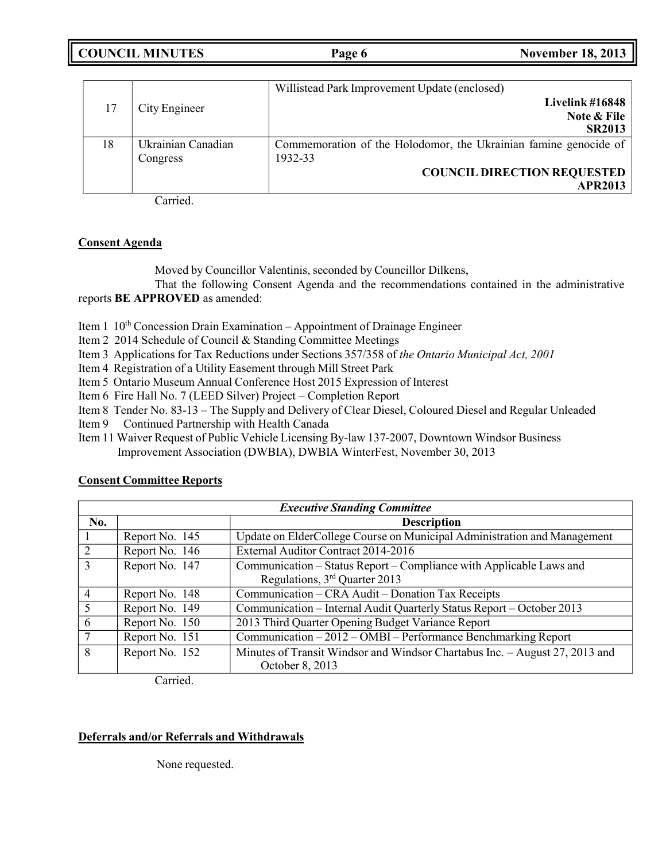**COUNCIL MINUTES Page 6 November 18, 2013**

|    |                    | Willistead Park Improvement Update (enclosed)                    |
|----|--------------------|------------------------------------------------------------------|
| 17 | City Engineer      | Livelink $\#16848$                                               |
|    |                    | Note & File                                                      |
|    |                    | <b>SR2013</b>                                                    |
| 18 | Ukrainian Canadian | Commemoration of the Holodomor, the Ukrainian famine genocide of |
|    | Congress           | 1932-33                                                          |
|    |                    | <b>COUNCIL DIRECTION REQUESTED</b>                               |
|    |                    | <b>APR2013</b>                                                   |

Carried.

### **Consent Agenda**

Moved by Councillor Valentinis, seconded by Councillor Dilkens,

That the following Consent Agenda and the recommendations contained in the administrative reports **BE APPROVED** as amended:

Item  $1 \; 10^{th}$  Concession Drain Examination – Appointment of Drainage Engineer

Item 2 2014 Schedule of Council & Standing Committee Meetings

- Item 3 Applications for Tax Reductions under Sections 357/358 of *the Ontario Municipal Act, 2001*
- Item 4 Registration of a Utility Easement through Mill Street Park

Item 5 Ontario Museum Annual Conference Host 2015 Expression of Interest

Item 6 Fire Hall No. 7 (LEED Silver) Project – Completion Report

Item 8 Tender No. 83-13 – The Supply and Delivery of Clear Diesel, Coloured Diesel and Regular Unleaded

Item 9 Continued Partnership with Health Canada

Item 11 Waiver Request of Public Vehicle Licensing By-law 137-2007, Downtown Windsor Business Improvement Association (DWBIA), DWBIA WinterFest, November 30, 2013

## **Consent Committee Reports**

|     | <b>Executive Standing Committee</b> |                                                                                                                  |  |  |  |
|-----|-------------------------------------|------------------------------------------------------------------------------------------------------------------|--|--|--|
| No. | <b>Description</b>                  |                                                                                                                  |  |  |  |
|     | Report No. 145                      | Update on ElderCollege Course on Municipal Administration and Management                                         |  |  |  |
| 2   | Report No. 146                      | External Auditor Contract 2014-2016                                                                              |  |  |  |
| 3   | Report No. 147                      | Communication – Status Report – Compliance with Applicable Laws and<br>Regulations, 3 <sup>rd</sup> Quarter 2013 |  |  |  |
| 4   | Report No. 148                      | Communication – CRA Audit – Donation Tax Receipts                                                                |  |  |  |
|     | Report No. 149                      | Communication - Internal Audit Quarterly Status Report - October 2013                                            |  |  |  |
| 6   | Report No. 150                      | 2013 Third Quarter Opening Budget Variance Report                                                                |  |  |  |
|     | Report No. 151                      | Communication - 2012 - OMBI - Performance Benchmarking Report                                                    |  |  |  |
| 8   | Report No. 152                      | Minutes of Transit Windsor and Windsor Chartabus Inc. - August 27, 2013 and<br>October 8, 2013                   |  |  |  |

Carried.

## **Deferrals and/or Referrals and Withdrawals**

None requested.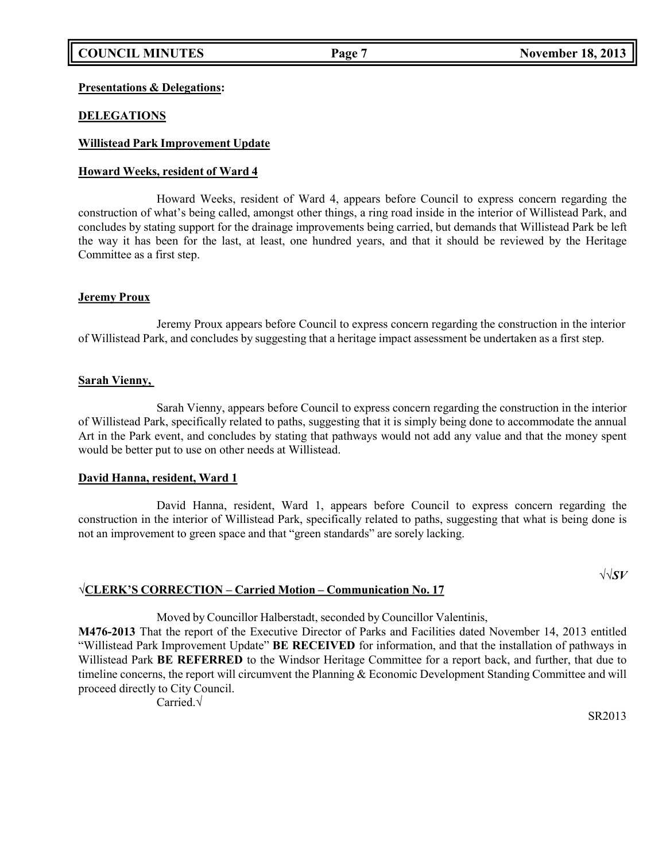### **Presentations & Delegations:**

### **DELEGATIONS**

### **Willistead Park Improvement Update**

### **Howard Weeks, resident of Ward 4**

Howard Weeks, resident of Ward 4, appears before Council to express concern regarding the construction of what's being called, amongst other things, a ring road inside in the interior of Willistead Park, and concludes by stating support for the drainage improvements being carried, but demands that Willistead Park be left the way it has been for the last, at least, one hundred years, and that it should be reviewed by the Heritage Committee as a first step.

#### **Jeremy Proux**

Jeremy Proux appears before Council to express concern regarding the construction in the interior of Willistead Park, and concludes by suggesting that a heritage impact assessment be undertaken as a first step.

#### **Sarah Vienny,**

Sarah Vienny, appears before Council to express concern regarding the construction in the interior of Willistead Park, specifically related to paths, suggesting that it is simply being done to accommodate the annual Art in the Park event, and concludes by stating that pathways would not add any value and that the money spent would be better put to use on other needs at Willistead.

### **David Hanna, resident, Ward 1**

David Hanna, resident, Ward 1, appears before Council to express concern regarding the construction in the interior of Willistead Park, specifically related to paths, suggesting that what is being done is not an improvement to green space and that "green standards" are sorely lacking.

### √**CLERK'S CORRECTION – Carried Motion – Communication No. 17**

√√*SV*

Moved by Councillor Halberstadt, seconded by Councillor Valentinis,

**M476-2013** That the report of the Executive Director of Parks and Facilities dated November 14, 2013 entitled "Willistead Park Improvement Update" **BE RECEIVED** for information, and that the installation of pathways in Willistead Park **BE REFERRED** to the Windsor Heritage Committee for a report back, and further, that due to timeline concerns, the report will circumvent the Planning & Economic Development Standing Committee and will proceed directly to City Council.

Carried.√

SR2013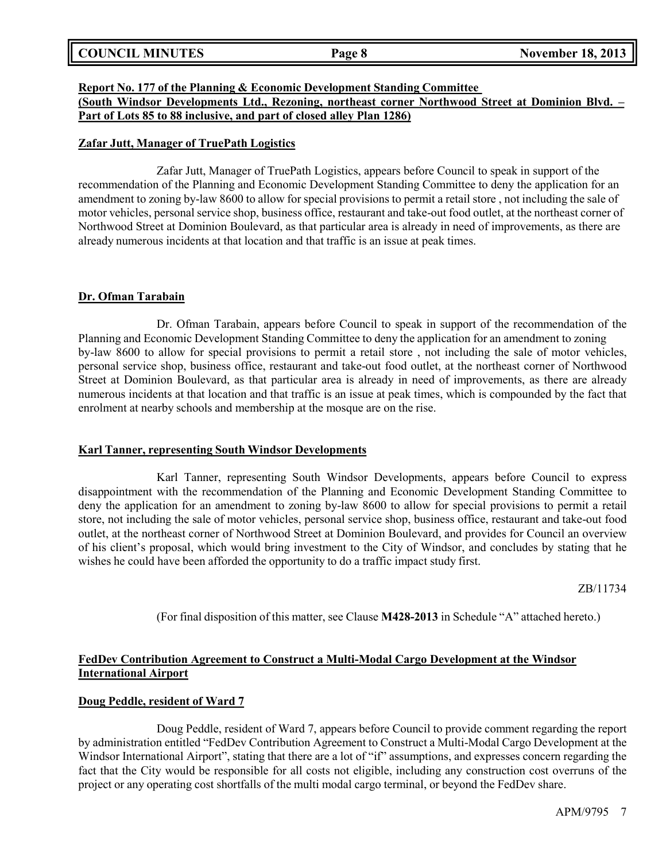| <b>COUNCIL MINUTES</b> | Page 8 | <b>November 18, 2013</b> |
|------------------------|--------|--------------------------|
|                        |        |                          |

### **Report No. 177 of the Planning & Economic Development Standing Committee**

**(South Windsor Developments Ltd., Rezoning, northeast corner Northwood Street at Dominion Blvd. – Part of Lots 85 to 88 inclusive, and part of closed alley Plan 1286)**

#### **Zafar Jutt, Manager of TruePath Logistics**

Zafar Jutt, Manager of TruePath Logistics, appears before Council to speak in support of the recommendation of the Planning and Economic Development Standing Committee to deny the application for an amendment to zoning by-law 8600 to allow for special provisions to permit a retail store , not including the sale of motor vehicles, personal service shop, business office, restaurant and take-out food outlet, at the northeast corner of Northwood Street at Dominion Boulevard, as that particular area is already in need of improvements, as there are already numerous incidents at that location and that traffic is an issue at peak times.

### **Dr. Ofman Tarabain**

Dr. Ofman Tarabain, appears before Council to speak in support of the recommendation of the Planning and Economic Development Standing Committee to deny the application for an amendment to zoning by-law 8600 to allow for special provisions to permit a retail store , not including the sale of motor vehicles, personal service shop, business office, restaurant and take-out food outlet, at the northeast corner of Northwood Street at Dominion Boulevard, as that particular area is already in need of improvements, as there are already numerous incidents at that location and that traffic is an issue at peak times, which is compounded by the fact that enrolment at nearby schools and membership at the mosque are on the rise.

#### **Karl Tanner, representing South Windsor Developments**

Karl Tanner, representing South Windsor Developments, appears before Council to express disappointment with the recommendation of the Planning and Economic Development Standing Committee to deny the application for an amendment to zoning by-law 8600 to allow for special provisions to permit a retail store, not including the sale of motor vehicles, personal service shop, business office, restaurant and take-out food outlet, at the northeast corner of Northwood Street at Dominion Boulevard, and provides for Council an overview of his client's proposal, which would bring investment to the City of Windsor, and concludes by stating that he wishes he could have been afforded the opportunity to do a traffic impact study first.

ZB/11734

(For final disposition of this matter, see Clause **M428-2013** in Schedule "A" attached hereto.)

## **FedDev Contribution Agreement to Construct a Multi-Modal Cargo Development at the Windsor International Airport**

#### **Doug Peddle, resident of Ward 7**

Doug Peddle, resident of Ward 7, appears before Council to provide comment regarding the report by administration entitled "FedDev Contribution Agreement to Construct a Multi-Modal Cargo Development at the Windsor International Airport", stating that there are a lot of "if" assumptions, and expresses concern regarding the fact that the City would be responsible for all costs not eligible, including any construction cost overruns of the project or any operating cost shortfalls of the multi modal cargo terminal, or beyond the FedDev share.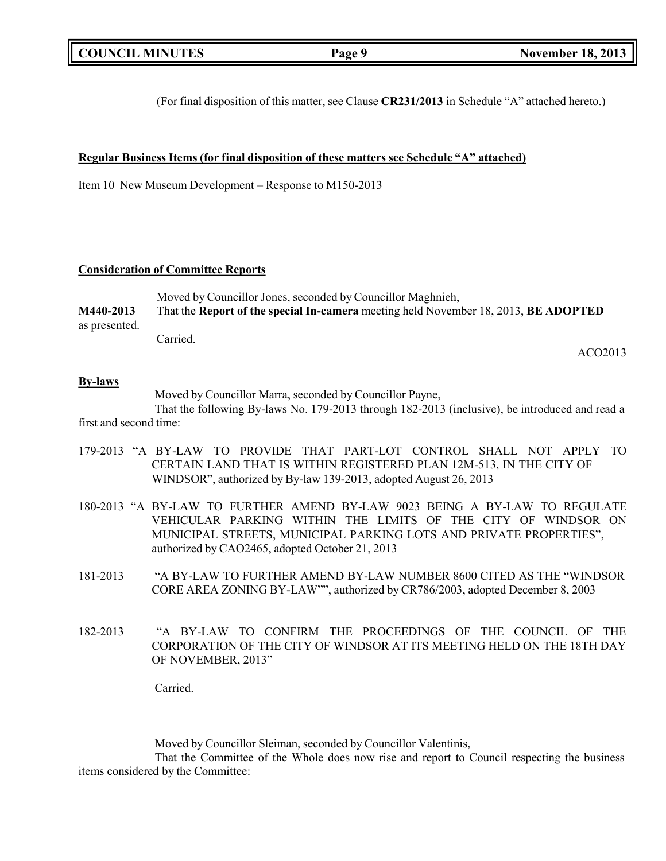|  | <b>COUNCIL MINUTES</b> |
|--|------------------------|
|--|------------------------|

(For final disposition of this matter, see Clause **CR231/2013** in Schedule "A" attached hereto.)

#### **Regular Business Items (for final disposition of these matters see Schedule "A" attached)**

Item 10 New Museum Development – Response to M150-2013

#### **Consideration of Committee Reports**

|               | Moved by Councillor Jones, seconded by Councillor Maghnieh,                         |
|---------------|-------------------------------------------------------------------------------------|
| M440-2013     | That the Report of the special In-camera meeting held November 18, 2013, BE ADOPTED |
| as presented. |                                                                                     |
|               | Carried.                                                                            |

#### ACO2013

#### **By-laws**

Moved by Councillor Marra, seconded by Councillor Payne,

That the following By-laws No. 179-2013 through 182-2013 (inclusive), be introduced and read a first and second time:

- 179-2013 "A BY-LAW TO PROVIDE THAT PART-LOT CONTROL SHALL NOT APPLY TO CERTAIN LAND THAT IS WITHIN REGISTERED PLAN 12M-513, IN THE CITY OF WINDSOR", authorized by By-law 139-2013, adopted August 26, 2013
- 180-2013 "A BY-LAW TO FURTHER AMEND BY-LAW 9023 BEING A BY-LAW TO REGULATE VEHICULAR PARKING WITHIN THE LIMITS OF THE CITY OF WINDSOR ON MUNICIPAL STREETS, MUNICIPAL PARKING LOTS AND PRIVATE PROPERTIES", authorized by CAO2465, adopted October 21, 2013
- 181-2013 "A BY-LAW TO FURTHER AMEND BY-LAW NUMBER 8600 CITED AS THE "WINDSOR CORE AREA ZONING BY-LAW"", authorized by CR786/2003, adopted December 8, 2003
- 182-2013 "A BY-LAW TO CONFIRM THE PROCEEDINGS OF THE COUNCIL OF THE CORPORATION OF THE CITY OF WINDSOR AT ITS MEETING HELD ON THE 18TH DAY OF NOVEMBER, 2013"

Carried.

Moved by Councillor Sleiman, seconded by Councillor Valentinis,

That the Committee of the Whole does now rise and report to Council respecting the business items considered by the Committee: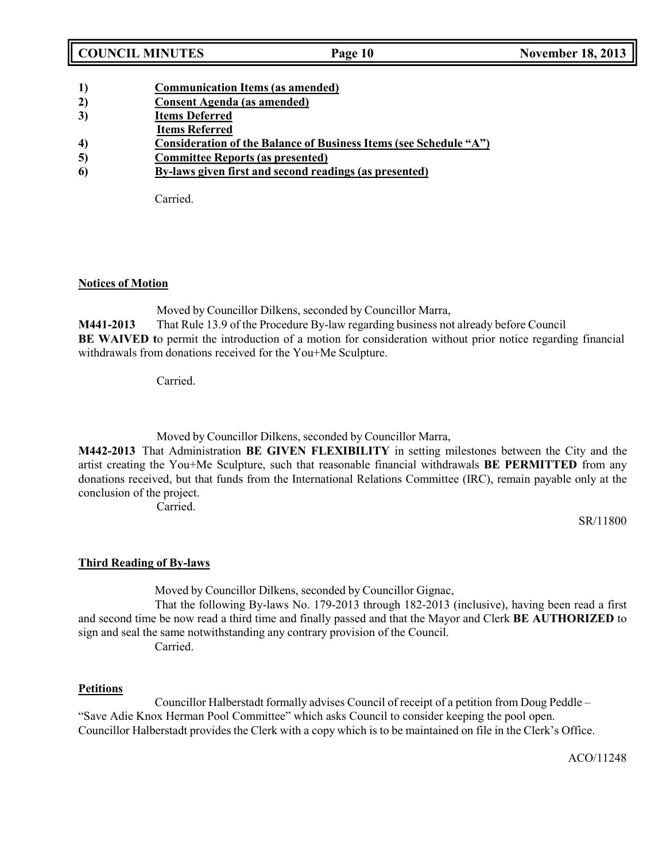| <b>COUNCIL MINUTES</b> |  |
|------------------------|--|
|------------------------|--|

| 1) |  | <b>Communication Items (as amended)</b> |
|----|--|-----------------------------------------|
|    |  |                                         |

- **2) Consent Agenda (as amended)**
- **3) Items Deferred**
- **Items Referred**
- **4) Consideration of the Balance of Business Items (see Schedule "A")**
- **5) Committee Reports (as presented)**
- **6) By-laws given first and second readings (as presented)**

Carried.

## **Notices of Motion**

Moved by Councillor Dilkens, seconded by Councillor Marra, **M441-2013** That Rule 13.9 of the Procedure By-law regarding business not already before Council **BE** WAIVED to permit the introduction of a motion for consideration without prior notice regarding financial withdrawals from donations received for the You+Me Sculpture.

Carried.

Moved by Councillor Dilkens, seconded by Councillor Marra,

**M442-2013** That Administration **BE GIVEN FLEXIBILITY** in setting milestones between the City and the artist creating the You+Me Sculpture, such that reasonable financial withdrawals **BE PERMITTED** from any donations received, but that funds from the International Relations Committee (IRC), remain payable only at the conclusion of the project.

Carried.

SR/11800

# **Third Reading of By-laws**

Moved by Councillor Dilkens, seconded by Councillor Gignac,

That the following By-laws No. 179-2013 through 182-2013 (inclusive), having been read a first and second time be now read a third time and finally passed and that the Mayor and Clerk **BE AUTHORIZED** to sign and seal the same notwithstanding any contrary provision of the Council. Carried.

## **Petitions**

Councillor Halberstadt formally advises Council of receipt of a petition from Doug Peddle – "Save Adie Knox Herman Pool Committee" which asks Council to consider keeping the pool open. Councillor Halberstadt provides the Clerk with a copy which is to be maintained on file in the Clerk's Office.

ACO/11248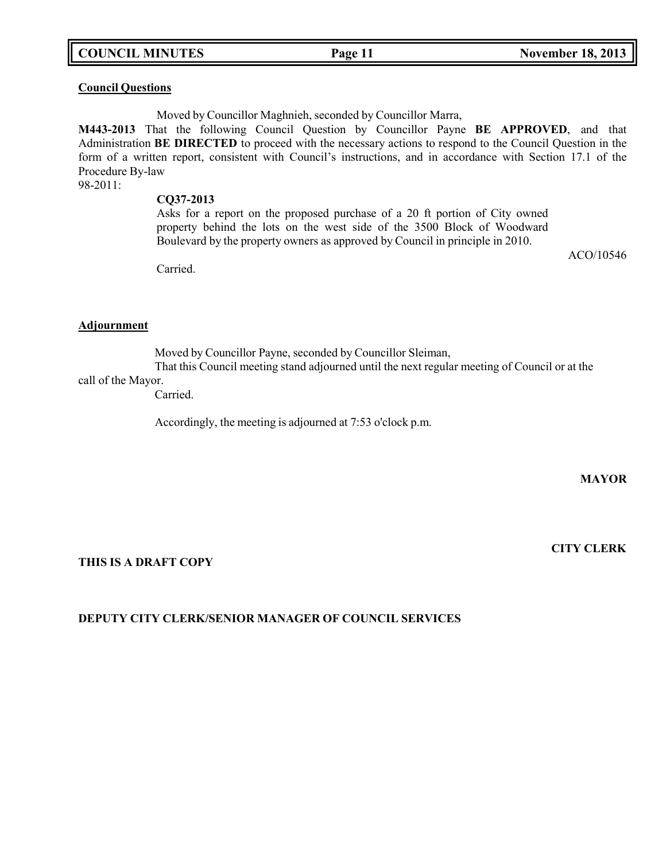## **COUNCIL MINUTES Page 11 November 18, 2013**

### **Council Questions**

Moved by Councillor Maghnieh, seconded by Councillor Marra,

**M443-2013** That the following Council Question by Councillor Payne **BE APPROVED**, and that Administration **BE DIRECTED** to proceed with the necessary actions to respond to the Council Question in the form of a written report, consistent with Council's instructions, and in accordance with Section 17.1 of the Procedure By-law

98-2011:

#### **CQ37-2013**

Asks for a report on the proposed purchase of a 20 ft portion of City owned property behind the lots on the west side of the 3500 Block of Woodward Boulevard by the property owners as approved by Council in principle in 2010.

ACO/10546

Carried.

### **Adjournment**

Moved by Councillor Payne, seconded by Councillor Sleiman,

That this Council meeting stand adjourned until the next regular meeting of Council or at the call of the Mayor.

Carried.

Accordingly, the meeting is adjourned at 7:53 o'clock p.m.

**MAYOR**

#### **THIS IS A DRAFT COPY**

#### **CITY CLERK**

## **DEPUTY CITY CLERK/SENIOR MANAGER OF COUNCIL SERVICES**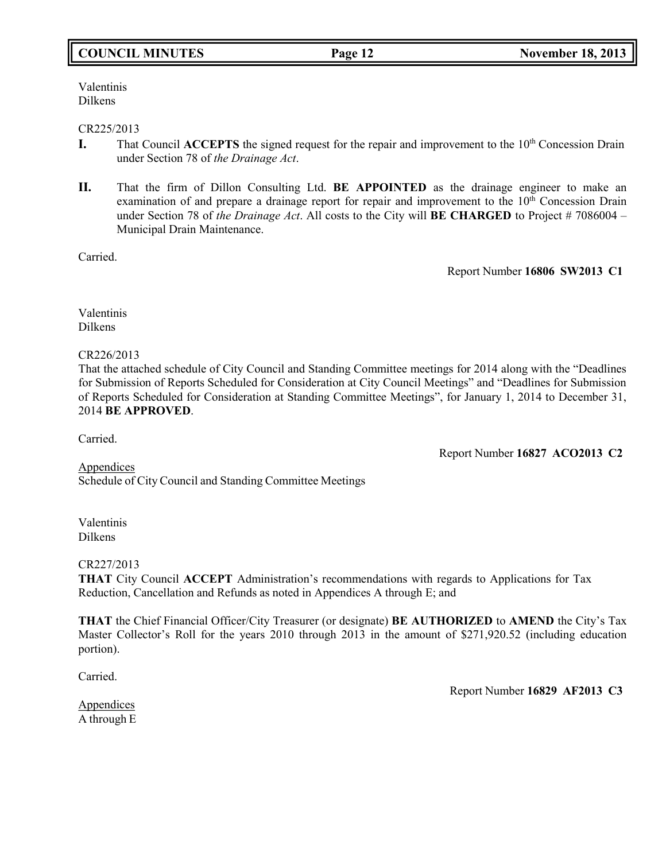## **COUNCIL MINUTES Page 12 November 18, 2013**

Valentinis Dilkens

#### CR225/2013

- **I.** That Council **ACCEPTS** the signed request for the repair and improvement to the 10<sup>th</sup> Concession Drain under Section 78 of *the Drainage Act*.
- **II.** That the firm of Dillon Consulting Ltd. **BE APPOINTED** as the drainage engineer to make an examination of and prepare a drainage report for repair and improvement to the  $10<sup>th</sup>$  Concession Drain under Section 78 of *the Drainage Act*. All costs to the City will **BE CHARGED** to Project # 7086004 – Municipal Drain Maintenance.

Carried.

Report Number **16806 SW2013 C1**

Valentinis Dilkens

#### CR226/2013

That the attached schedule of City Council and Standing Committee meetings for 2014 along with the "Deadlines for Submission of Reports Scheduled for Consideration at City Council Meetings" and "Deadlines for Submission of Reports Scheduled for Consideration at Standing Committee Meetings", for January 1, 2014 to December 31, 2014 **BE APPROVED**.

Carried.

Report Number **16827 ACO2013 C2**

Appendices Schedule of City Council and Standing Committee Meetings

Valentinis Dilkens

#### CR227/2013

**THAT** City Council **ACCEPT** Administration's recommendations with regards to Applications for Tax Reduction, Cancellation and Refunds as noted in Appendices A through E; and

**THAT** the Chief Financial Officer/City Treasurer (or designate) **BE AUTHORIZED** to **AMEND** the City's Tax Master Collector's Roll for the years 2010 through 2013 in the amount of \$271,920.52 (including education portion).

Carried.

Appendices A through E Report Number **16829 AF2013 C3**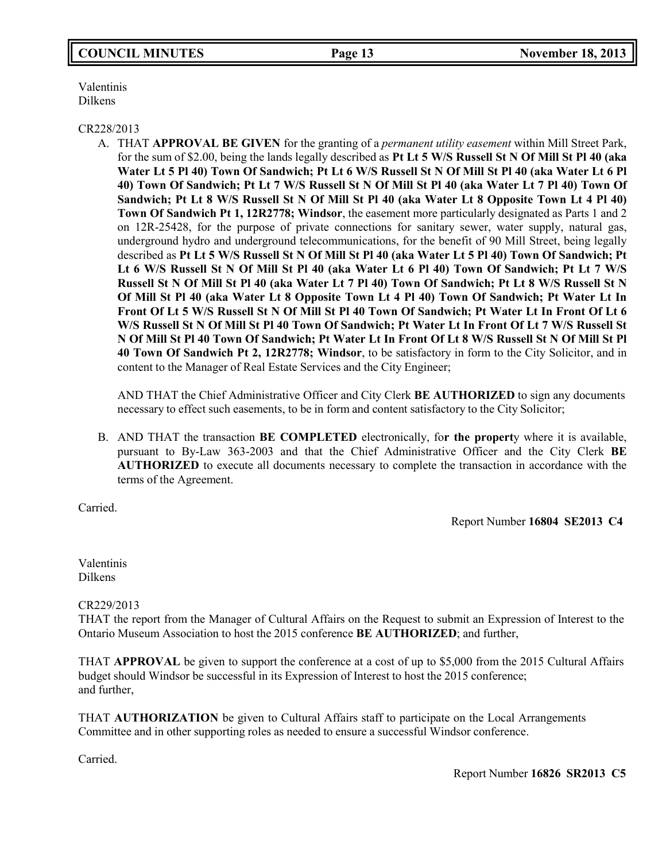## **COUNCIL MINUTES Page 13 November 18, 2013**

Valentinis Dilkens

#### CR228/2013

A. THAT **APPROVAL BE GIVEN** for the granting of a *permanent utility easement* within Mill Street Park, for the sum of \$2.00, being the lands legally described as **Pt Lt 5 W/S Russell St N Of Mill St Pl 40 (aka Water Lt 5 Pl 40) Town Of Sandwich; Pt Lt 6 W/S Russell St N Of Mill St Pl 40 (aka Water Lt 6 Pl 40) Town Of Sandwich; Pt Lt 7 W/S Russell St N Of Mill St Pl 40 (aka Water Lt 7 Pl 40) Town Of Sandwich; Pt Lt 8 W/S Russell St N Of Mill St Pl 40 (aka Water Lt 8 Opposite Town Lt 4 Pl 40) Town Of Sandwich Pt 1, 12R2778; Windsor**, the easement more particularly designated as Parts 1 and 2 on 12R-25428, for the purpose of private connections for sanitary sewer, water supply, natural gas, underground hydro and underground telecommunications, for the benefit of 90 Mill Street, being legally described as **Pt Lt 5 W/S Russell St N Of Mill St Pl 40 (aka Water Lt 5 Pl 40) Town Of Sandwich; Pt Lt 6 W/S Russell St N Of Mill St Pl 40 (aka Water Lt 6 Pl 40) Town Of Sandwich; Pt Lt 7 W/S** Russell St N Of Mill St Pl 40 (aka Water Lt 7 Pl 40) Town Of Sandwich; Pt Lt 8 W/S Russell St N **Of Mill St Pl 40 (aka Water Lt 8 Opposite Town Lt 4 Pl 40) Town Of Sandwich; Pt Water Lt In Front Of Lt 5 W/S Russell St N Of Mill St Pl 40 Town Of Sandwich; Pt Water Lt In Front Of Lt 6 W/S Russell St N Of Mill St Pl 40 Town Of Sandwich; Pt Water Lt In Front Of Lt 7 W/S Russell St N Of Mill St Pl 40 Town Of Sandwich; Pt Water Lt In Front Of Lt 8 W/S Russell St N Of Mill St Pl 40 Town Of Sandwich Pt 2, 12R2778; Windsor**, to be satisfactory in form to the City Solicitor, and in content to the Manager of Real Estate Services and the City Engineer;

AND THAT the Chief Administrative Officer and City Clerk **BE AUTHORIZED** to sign any documents necessary to effect such easements, to be in form and content satisfactory to the City Solicitor;

B. AND THAT the transaction **BE COMPLETED** electronically, fo**r the propert**y where it is available, pursuant to By-Law 363-2003 and that the Chief Administrative Officer and the City Clerk **BE AUTHORIZED** to execute all documents necessary to complete the transaction in accordance with the terms of the Agreement.

Carried.

Report Number **16804 SE2013 C4**

Valentinis Dilkens

CR229/2013

THAT the report from the Manager of Cultural Affairs on the Request to submit an Expression of Interest to the Ontario Museum Association to host the 2015 conference **BE AUTHORIZED**; and further,

THAT **APPROVAL** be given to support the conference at a cost of up to \$5,000 from the 2015 Cultural Affairs budget should Windsor be successful in its Expression of Interest to host the 2015 conference; and further,

THAT **AUTHORIZATION** be given to Cultural Affairs staff to participate on the Local Arrangements Committee and in other supporting roles as needed to ensure a successful Windsor conference.

Carried.

Report Number **16826 SR2013 C5**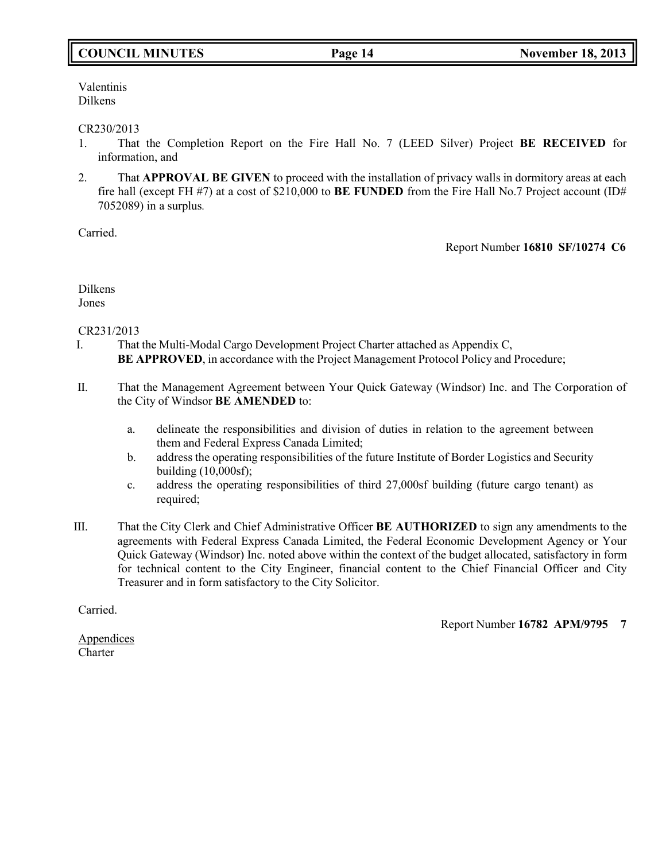## **COUNCIL MINUTES Page 14 November 18, 2013**

Valentinis Dilkens

#### CR230/2013

- 1. That the Completion Report on the Fire Hall No. 7 (LEED Silver) Project **BE RECEIVED** for information, and
- 2. That **APPROVAL BE GIVEN** to proceed with the installation of privacy walls in dormitory areas at each fire hall (except FH #7) at a cost of \$210,000 to **BE FUNDED** from the Fire Hall No.7 Project account (ID# 7052089) in a surplus*.*

Carried.

Report Number **16810 SF/10274 C6**

Dilkens Jones

#### CR231/2013

- I. That the Multi-Modal Cargo Development Project Charter attached as Appendix C, **BE APPROVED**, in accordance with the Project Management Protocol Policy and Procedure;
- II. That the Management Agreement between Your Quick Gateway (Windsor) Inc. and The Corporation of the City of Windsor **BE AMENDED** to:
	- a. delineate the responsibilities and division of duties in relation to the agreement between them and Federal Express Canada Limited;
	- b. address the operating responsibilities of the future Institute of Border Logistics and Security building (10,000sf);
	- c. address the operating responsibilities of third 27,000sf building (future cargo tenant) as required;
- III. That the City Clerk and Chief Administrative Officer **BE AUTHORIZED** to sign any amendments to the agreements with Federal Express Canada Limited, the Federal Economic Development Agency or Your Quick Gateway (Windsor) Inc. noted above within the context of the budget allocated, satisfactory in form for technical content to the City Engineer, financial content to the Chief Financial Officer and City Treasurer and in form satisfactory to the City Solicitor.

Carried.

Report Number **16782 APM/9795 7**

**Appendices Charter**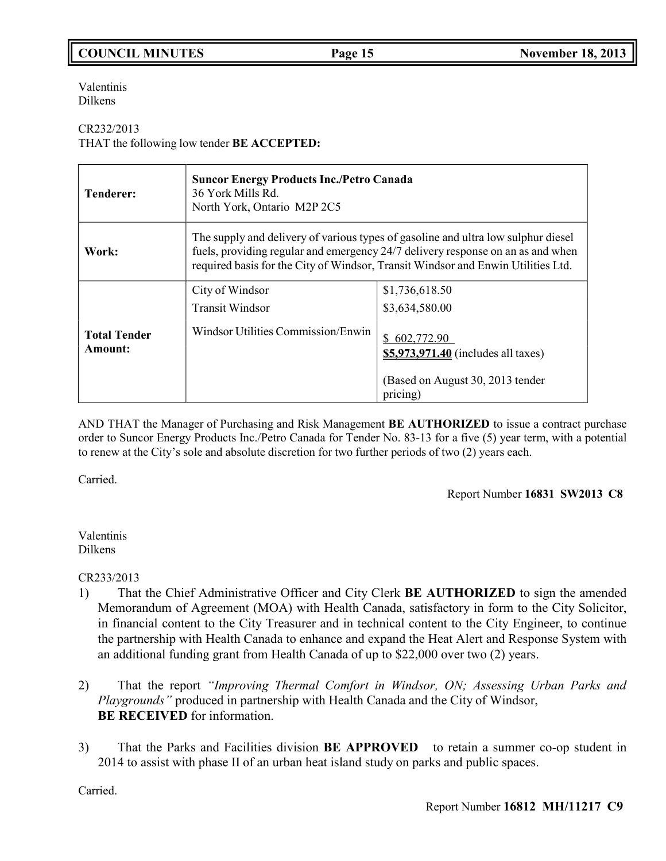# **COUNCIL MINUTES Page 15 November 18, 2013**

Valentinis Dilkens

### CR232/2013

THAT the following low tender **BE ACCEPTED:**

| <b>Tenderer:</b>               | <b>Suncor Energy Products Inc./Petro Canada</b><br>36 York Mills Rd.<br>North York, Ontario M2P 2C5                                                                                                                                                      |                                                                                                                      |
|--------------------------------|----------------------------------------------------------------------------------------------------------------------------------------------------------------------------------------------------------------------------------------------------------|----------------------------------------------------------------------------------------------------------------------|
| Work:                          | The supply and delivery of various types of gasoline and ultra low sulphur diesel<br>fuels, providing regular and emergency 24/7 delivery response on an as and when<br>required basis for the City of Windsor, Transit Windsor and Enwin Utilities Ltd. |                                                                                                                      |
|                                | City of Windsor<br><b>Transit Windsor</b>                                                                                                                                                                                                                | \$1,736,618.50<br>\$3,634,580.00                                                                                     |
| <b>Total Tender</b><br>Amount: | Windsor Utilities Commission/Enwin                                                                                                                                                                                                                       | 602,772.90<br>$\mathbb{S}^-$<br>\$5,973,971.40 (includes all taxes)<br>(Based on August 30, 2013 tender)<br>pricing) |

AND THAT the Manager of Purchasing and Risk Management **BE AUTHORIZED** to issue a contract purchase order to Suncor Energy Products Inc./Petro Canada for Tender No. 83-13 for a five (5) year term, with a potential to renew at the City's sole and absolute discretion for two further periods of two (2) years each.

Carried.

Report Number **16831 SW2013 C8**

#### Valentinis Dilkens

CR233/2013

- 1) That the Chief Administrative Officer and City Clerk **BE AUTHORIZED** to sign the amended Memorandum of Agreement (MOA) with Health Canada, satisfactory in form to the City Solicitor, in financial content to the City Treasurer and in technical content to the City Engineer, to continue the partnership with Health Canada to enhance and expand the Heat Alert and Response System with an additional funding grant from Health Canada of up to \$22,000 over two (2) years.
- 2) That the report *"Improving Thermal Comfort in Windsor, ON; Assessing Urban Parks and Playgrounds"* produced in partnership with Health Canada and the City of Windsor, **BE RECEIVED** for information.
- 3) That the Parks and Facilities division **BE APPROVED** to retain a summer co-op student in 2014 to assist with phase II of an urban heat island study on parks and public spaces.

Carried.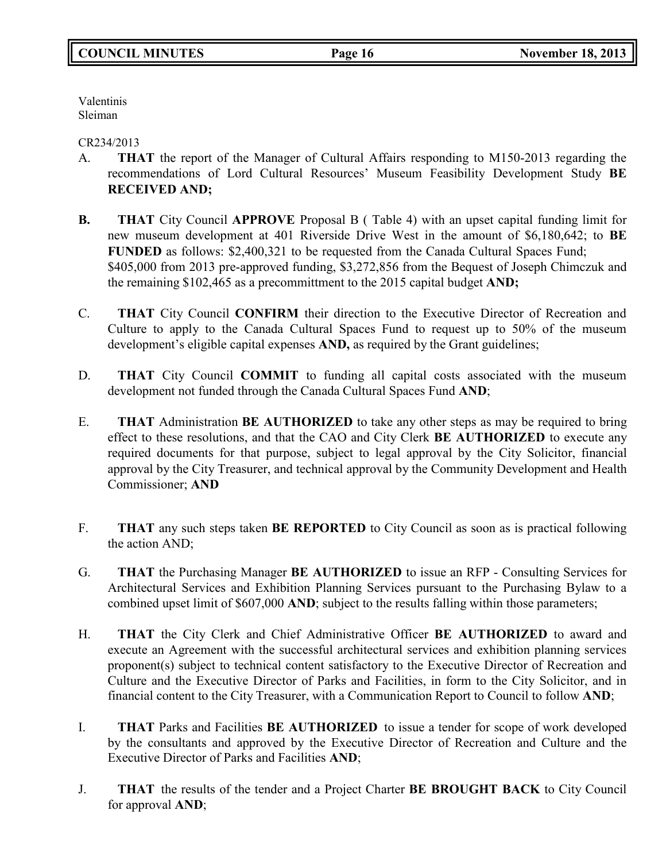Valentinis Sleiman

CR234/2013

- A. **THAT** the report of the Manager of Cultural Affairs responding to M150-2013 regarding the recommendations of Lord Cultural Resources' Museum Feasibility Development Study **BE RECEIVED AND;**
- **B. THAT** City Council **APPROVE** Proposal B ( Table 4) with an upset capital funding limit for new museum development at 401 Riverside Drive West in the amount of \$6,180,642; to **BE FUNDED** as follows: \$2,400,321 to be requested from the Canada Cultural Spaces Fund; \$405,000 from 2013 pre-approved funding, \$3,272,856 from the Bequest of Joseph Chimczuk and the remaining \$102,465 as a precommittment to the 2015 capital budget **AND;**
- C. **THAT** City Council **CONFIRM** their direction to the Executive Director of Recreation and Culture to apply to the Canada Cultural Spaces Fund to request up to 50% of the museum development's eligible capital expenses **AND,** as required by the Grant guidelines;
- D. **THAT** City Council **COMMIT** to funding all capital costs associated with the museum development not funded through the Canada Cultural Spaces Fund **AND**;
- E. **THAT** Administration **BE AUTHORIZED** to take any other steps as may be required to bring effect to these resolutions, and that the CAO and City Clerk **BE AUTHORIZED** to execute any required documents for that purpose, subject to legal approval by the City Solicitor, financial approval by the City Treasurer, and technical approval by the Community Development and Health Commissioner; **AND**
- F. **THAT** any such steps taken **BE REPORTED** to City Council as soon as is practical following the action AND;
- G. **THAT** the Purchasing Manager **BE AUTHORIZED** to issue an RFP Consulting Services for Architectural Services and Exhibition Planning Services pursuant to the Purchasing Bylaw to a combined upset limit of \$607,000 **AND**; subject to the results falling within those parameters;
- H. **THAT** the City Clerk and Chief Administrative Officer **BE AUTHORIZED** to award and execute an Agreement with the successful architectural services and exhibition planning services proponent(s) subject to technical content satisfactory to the Executive Director of Recreation and Culture and the Executive Director of Parks and Facilities, in form to the City Solicitor, and in financial content to the City Treasurer, with a Communication Report to Council to follow **AND**;
- I. **THAT** Parks and Facilities **BE AUTHORIZED** to issue a tender for scope of work developed by the consultants and approved by the Executive Director of Recreation and Culture and the Executive Director of Parks and Facilities **AND**;
- J. **THAT** the results of the tender and a Project Charter **BE BROUGHT BACK** to City Council for approval **AND**;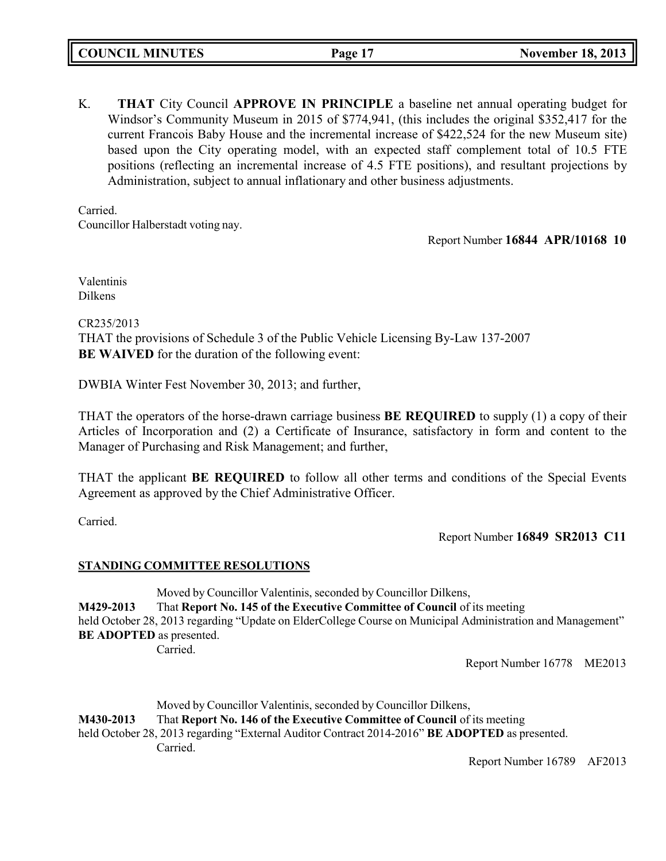K. **THAT** City Council **APPROVE IN PRINCIPLE** a baseline net annual operating budget for Windsor's Community Museum in 2015 of \$774,941, (this includes the original \$352,417 for the current Francois Baby House and the incremental increase of \$422,524 for the new Museum site) based upon the City operating model, with an expected staff complement total of 10.5 FTE positions (reflecting an incremental increase of 4.5 FTE positions), and resultant projections by Administration, subject to annual inflationary and other business adjustments.

Carried. Councillor Halberstadt voting nay.

Report Number **16844 APR/10168 10**

Valentinis Dilkens

CR235/2013

THAT the provisions of Schedule 3 of the Public Vehicle Licensing By-Law 137-2007 **BE WAIVED** for the duration of the following event:

DWBIA Winter Fest November 30, 2013; and further,

THAT the operators of the horse-drawn carriage business **BE REQUIRED** to supply (1) a copy of their Articles of Incorporation and (2) a Certificate of Insurance, satisfactory in form and content to the Manager of Purchasing and Risk Management; and further,

THAT the applicant **BE REQUIRED** to follow all other terms and conditions of the Special Events Agreement as approved by the Chief Administrative Officer.

Carried.

Report Number **16849 SR2013 C11**

## **STANDING COMMITTEE RESOLUTIONS**

Moved by Councillor Valentinis, seconded by Councillor Dilkens, **M429-2013** That **Report No. 145 of the Executive Committee of Council** of its meeting held October 28, 2013 regarding "Update on ElderCollege Course on Municipal Administration and Management" **BE ADOPTED** as presented. Carried.

Report Number 16778 ME2013

Moved by Councillor Valentinis, seconded by Councillor Dilkens, **M430-2013** That **Report No. 146 of the Executive Committee of Council** of its meeting held October 28, 2013 regarding "External Auditor Contract 2014-2016" **BE ADOPTED** as presented. Carried.

Report Number 16789 AF2013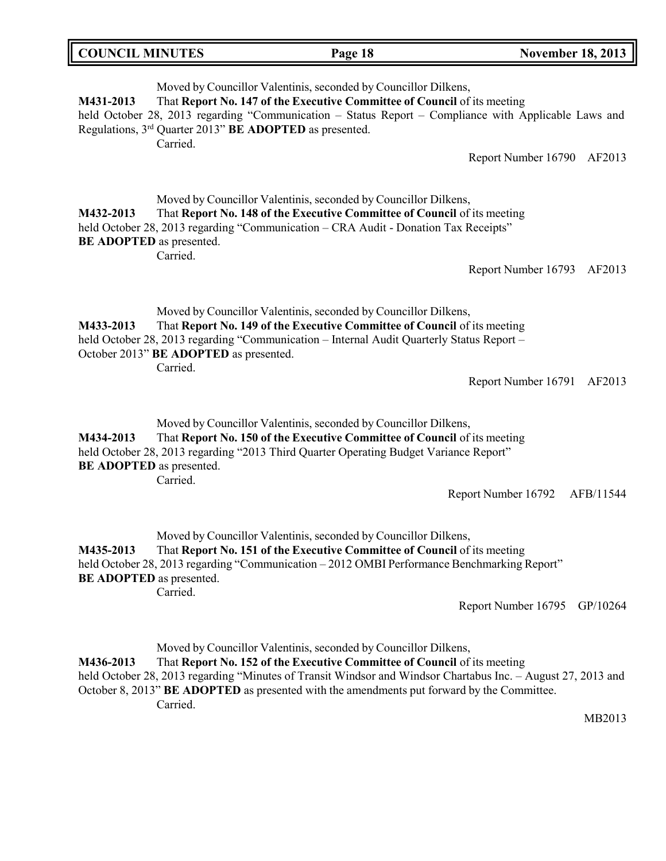| <b>COUNCIL MINUTES</b> | Page 18 | <b>November 18, 2013</b> |
|------------------------|---------|--------------------------|
|                        |         |                          |

Moved by Councillor Valentinis, seconded by Councillor Dilkens, **M431-2013** That **Report No. 147 of the Executive Committee of Council** of its meeting held October 28, 2013 regarding "Communication – Status Report – Compliance with Applicable Laws and Regulations, 3 rd Quarter 2013" **BE ADOPTED** as presented. Carried.

Report Number 16790 AF2013

Moved by Councillor Valentinis, seconded by Councillor Dilkens, **M432-2013** That **Report No. 148 of the Executive Committee of Council** of its meeting held October 28, 2013 regarding "Communication – CRA Audit - Donation Tax Receipts" **BE ADOPTED** as presented. Carried.

Report Number 16793 AF2013

Moved by Councillor Valentinis, seconded by Councillor Dilkens, **M433-2013** That **Report No. 149 of the Executive Committee of Council** of its meeting held October 28, 2013 regarding "Communication – Internal Audit Quarterly Status Report – October 2013" **BE ADOPTED** as presented. Carried.

Report Number 16791 AF2013

Moved by Councillor Valentinis, seconded by Councillor Dilkens, **M434-2013** That **Report No. 150 of the Executive Committee of Council** of its meeting held October 28, 2013 regarding "2013 Third Quarter Operating Budget Variance Report" **BE ADOPTED** as presented. Carried.

Report Number 16792 AFB/11544

Moved by Councillor Valentinis, seconded by Councillor Dilkens, **M435-2013** That **Report No. 151 of the Executive Committee of Council** of its meeting held October 28, 2013 regarding "Communication – 2012 OMBI Performance Benchmarking Report" **BE ADOPTED** as presented. Carried.

Report Number 16795 GP/10264

Moved by Councillor Valentinis, seconded by Councillor Dilkens,

**M436-2013** That **Report No. 152 of the Executive Committee of Council** of its meeting held October 28, 2013 regarding "Minutes of Transit Windsor and Windsor Chartabus Inc. - August 27, 2013 and

October 8, 2013" **BE ADOPTED** as presented with the amendments put forward by the Committee. Carried.

MB2013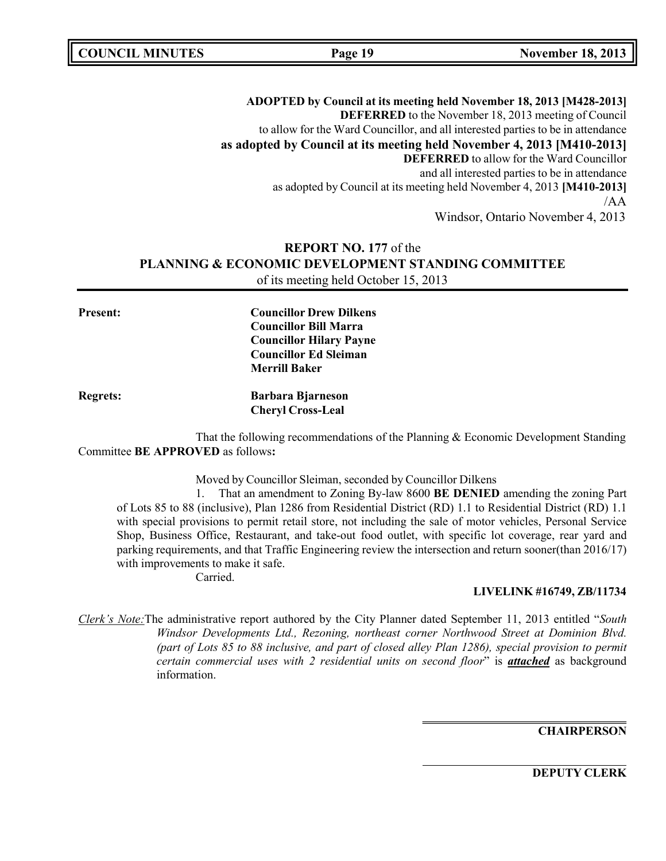**ADOPTED by Council at its meeting held November 18, 2013 [M428-2013] DEFERRED** to the November 18, 2013 meeting of Council to allow for the Ward Councillor, and all interested parties to be in attendance **as adopted by Council at its meeting held November 4, 2013 [M410-2013] DEFERRED** to allow for the Ward Councillor and all interested parties to be in attendance as adopted by Council at its meeting held November 4, 2013 **[M410-2013]** /AA Windsor, Ontario November 4, 2013

## **REPORT NO. 177** of the **PLANNING & ECONOMIC DEVELOPMENT STANDING COMMITTEE** of its meeting held October 15, 2013

**Present: Councillor Drew Dilkens Councillor Bill Marra Councillor Hilary Payne Councillor Ed Sleiman Merrill Baker**

**Regrets: Barbara Bjarneson Cheryl Cross-Leal**

That the following recommendations of the Planning & Economic Development Standing Committee **BE APPROVED** as follows**:**

Moved by Councillor Sleiman, seconded by Councillor Dilkens

1. That an amendment to Zoning By-law 8600 **BE DENIED** amending the zoning Part of Lots 85 to 88 (inclusive), Plan 1286 from Residential District (RD) 1.1 to Residential District (RD) 1.1 with special provisions to permit retail store, not including the sale of motor vehicles, Personal Service Shop, Business Office, Restaurant, and take-out food outlet, with specific lot coverage, rear yard and parking requirements, and that Traffic Engineering review the intersection and return sooner(than 2016/17) with improvements to make it safe.

Carried.

**LIVELINK #16749, ZB/11734**

*Clerk's Note:*The administrative report authored by the City Planner dated September 11, 2013 entitled "*South Windsor Developments Ltd., Rezoning, northeast corner Northwood Street at Dominion Blvd. (part of Lots 85 to 88 inclusive, and part of closed alley Plan 1286), special provision to permit certain commercial uses with 2 residential units on second floor*" is *attached* as background information.

**CHAIRPERSON**

**DEPUTY CLERK**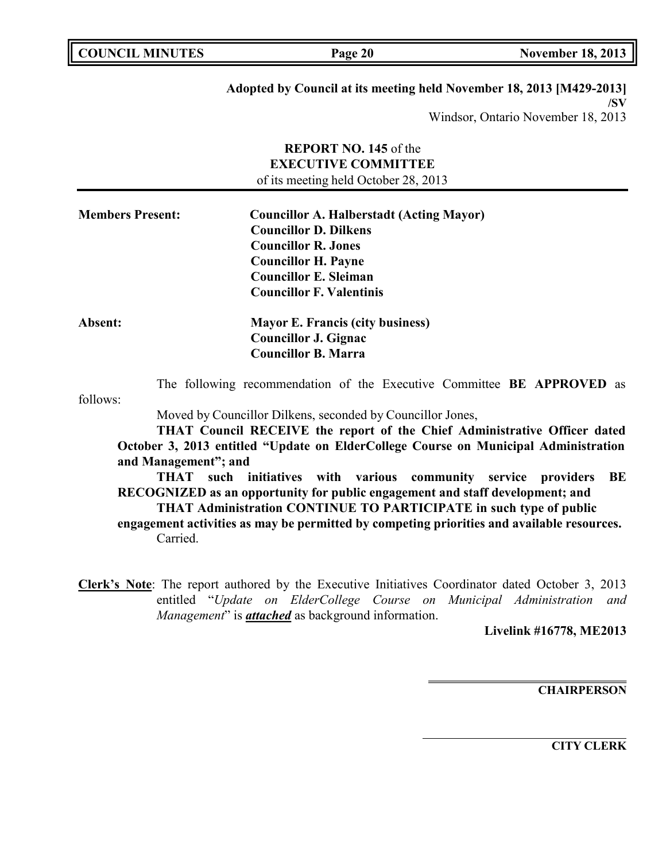| <b>COUNCIL MINUTES</b><br><b>November 18, 2013</b><br>Page 20 |
|---------------------------------------------------------------|
|---------------------------------------------------------------|

# **Adopted by Council at its meeting held November 18, 2013 [M429-2013]**

**/SV**

Windsor, Ontario November 18, 2013

|                         | <b>REPORT NO. 145 of the</b><br><b>EXECUTIVE COMMITTEE</b><br>of its meeting held October 28, 2013                                                                                                                                                                                                                                                                                                                                                                                                                                                                                                                                                                                     |
|-------------------------|----------------------------------------------------------------------------------------------------------------------------------------------------------------------------------------------------------------------------------------------------------------------------------------------------------------------------------------------------------------------------------------------------------------------------------------------------------------------------------------------------------------------------------------------------------------------------------------------------------------------------------------------------------------------------------------|
| <b>Members Present:</b> | <b>Councillor A. Halberstadt (Acting Mayor)</b><br><b>Councillor D. Dilkens</b><br><b>Councillor R. Jones</b><br><b>Councillor H. Payne</b><br><b>Councillor E. Sleiman</b><br><b>Councillor F. Valentinis</b>                                                                                                                                                                                                                                                                                                                                                                                                                                                                         |
| Absent:                 | <b>Mayor E. Francis (city business)</b><br><b>Councillor J. Gignac</b><br><b>Councillor B. Marra</b>                                                                                                                                                                                                                                                                                                                                                                                                                                                                                                                                                                                   |
| follows:                | The following recommendation of the Executive Committee BE APPROVED as<br>Moved by Councillor Dilkens, seconded by Councillor Jones,<br>THAT Council RECEIVE the report of the Chief Administrative Officer dated<br>October 3, 2013 entitled "Update on ElderCollege Course on Municipal Administration<br>and Management"; and<br><b>THAT</b><br>such initiatives with various community service<br>providers<br>BE<br>RECOGNIZED as an opportunity for public engagement and staff development; and<br>THAT Administration CONTINUE TO PARTICIPATE in such type of public<br>engagement activities as may be permitted by competing priorities and available resources.<br>Carried. |
|                         | Clerk's Note: The report authored by the Executive Initiatives Coordinator dated October 3, 2013                                                                                                                                                                                                                                                                                                                                                                                                                                                                                                                                                                                       |

entitled "*Update on ElderCollege Course on Municipal Administration and Management*" is *attached* as background information.

**Livelink #16778, ME2013**

**CHAIRPERSON**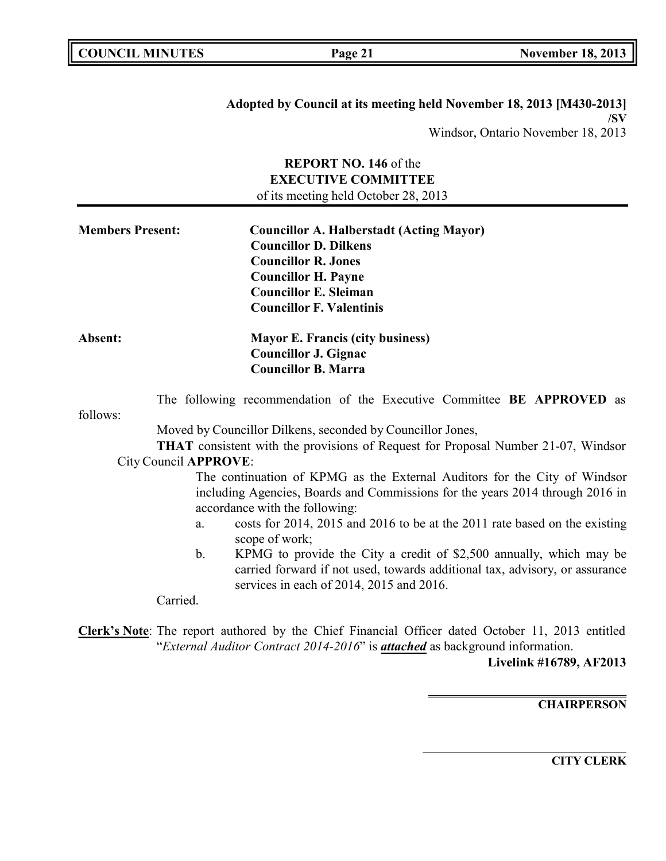| <b>COUNCIL MINUTES</b> |  |
|------------------------|--|
|------------------------|--|

**Adopted by Council at its meeting held November 18, 2013 [M430-2013] /SV** Windsor, Ontario November 18, 2013

## **REPORT NO. 146** of the **EXECUTIVE COMMITTEE** of its meeting held October 28, 2013

| <b>Members Present:</b> | <b>Councillor A. Halberstadt (Acting Mayor)</b><br><b>Councillor D. Dilkens</b><br><b>Councillor R. Jones</b><br><b>Councillor H. Payne</b><br><b>Councillor E. Sleiman</b><br><b>Councillor F. Valentinis</b> |  |
|-------------------------|----------------------------------------------------------------------------------------------------------------------------------------------------------------------------------------------------------------|--|
| Absent:                 | <b>Mayor E. Francis (city business)</b><br><b>Councillor J. Gignac</b><br><b>Councillor B. Marra</b>                                                                                                           |  |
| follows:                | The following recommendation of the Executive Committee BE APPROVED as                                                                                                                                         |  |
|                         | Moved by Councillor Dilkens, seconded by Councillor Jones,                                                                                                                                                     |  |
|                         | <b>THAT</b> consistent with the provisions of Request for Proposal Number 21-07, Windsor                                                                                                                       |  |
| City Council APPROVE:   |                                                                                                                                                                                                                |  |
|                         | The continuation of KPMG as the External Auditors for the City of Windsor<br>including Agencies, Boards and Commissions for the years 2014 through 2016 in<br>accordance with the following:                   |  |
|                         | costs for 2014, 2015 and 2016 to be at the 2011 rate based on the existing<br>a.<br>scope of work;                                                                                                             |  |
|                         | KPMG to provide the City a credit of \$2,500 annually, which may be<br>b.<br>carried forward if not used, towards additional tax, advisory, or assurance<br>services in each of 2014, 2015 and 2016.           |  |

Carried.

**Clerk's Note**: The report authored by the Chief Financial Officer dated October 11, 2013 entitled "*External Auditor Contract 2014-2016*" is *attached* as background information.

**Livelink #16789, AF2013**

**CHAIRPERSON**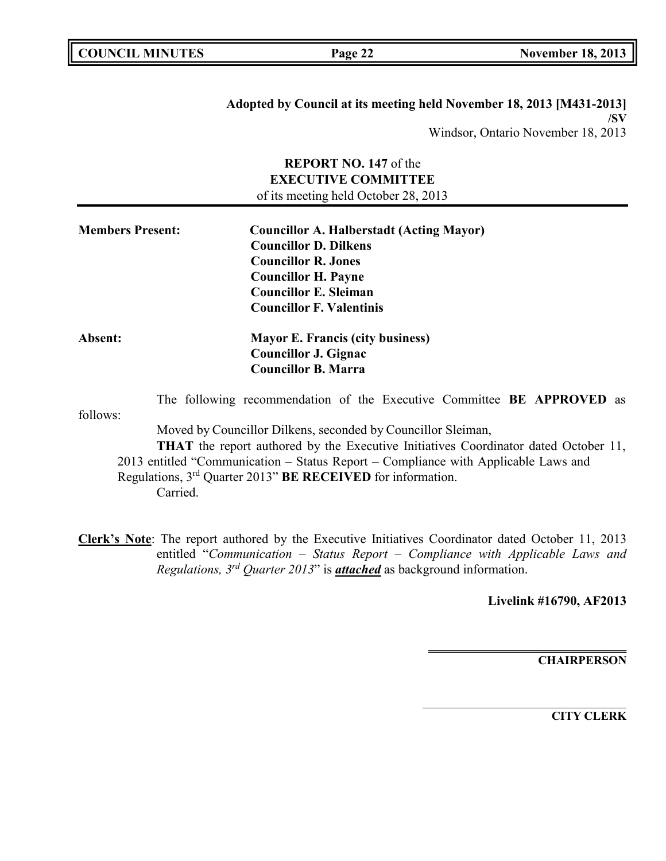| <b>COUNCIL MINUTES</b> |  |
|------------------------|--|
|------------------------|--|

**Adopted by Council at its meeting held November 18, 2013 [M431-2013] /SV** Windsor, Ontario November 18, 2013

## **REPORT NO. 147** of the **EXECUTIVE COMMITTEE** of its meeting held October 28, 2013

| <b>Members Present:</b> | <b>Councillor A. Halberstadt (Acting Mayor)</b><br><b>Councillor D. Dilkens</b><br><b>Councillor R. Jones</b><br><b>Councillor H. Payne</b><br><b>Councillor E. Sleiman</b><br><b>Councillor F. Valentinis</b>                                                                                                                          |
|-------------------------|-----------------------------------------------------------------------------------------------------------------------------------------------------------------------------------------------------------------------------------------------------------------------------------------------------------------------------------------|
| <b>Absent:</b>          | <b>Mayor E. Francis (city business)</b><br><b>Councillor J. Gignac</b><br><b>Councillor B. Marra</b>                                                                                                                                                                                                                                    |
| follows:                | The following recommendation of the Executive Committee BE APPROVED as                                                                                                                                                                                                                                                                  |
|                         | Moved by Councillor Dilkens, seconded by Councillor Sleiman,<br><b>THAT</b> the report authored by the Executive Initiatives Coordinator dated October 11,<br>2013 entitled "Communication – Status Report – Compliance with Applicable Laws and<br>Regulations, 3 <sup>rd</sup> Quarter 2013" BE RECEIVED for information.<br>Carried. |

**Clerk's Note**: The report authored by the Executive Initiatives Coordinator dated October 11, 2013 entitled "*Communication – Status Report – Compliance with Applicable Laws and Regulations, 3 rd Quarter 2013*" is *attached* as background information.

**Livelink #16790, AF2013**

**CHAIRPERSON**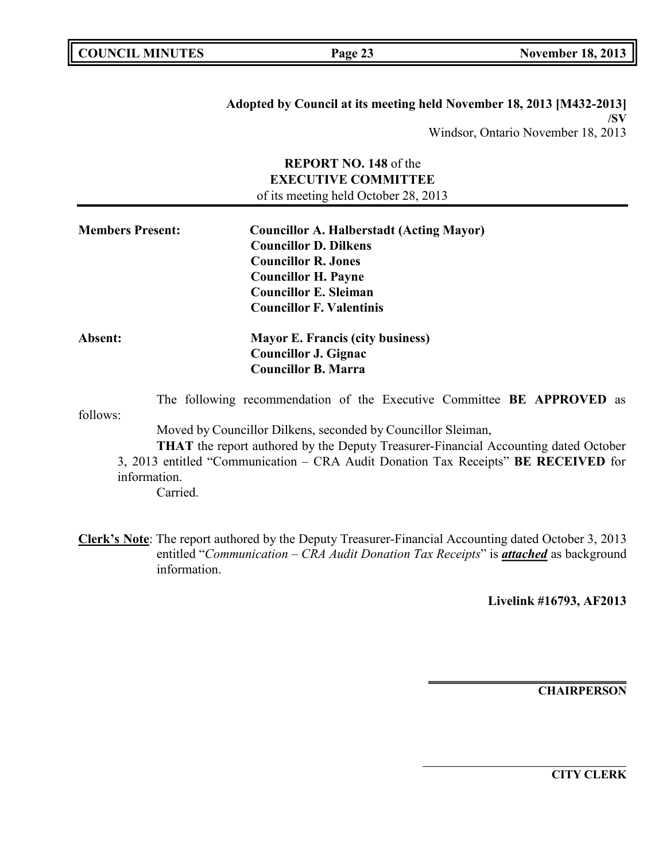| <b>COUNCIL MINUTES</b> |  |
|------------------------|--|
|------------------------|--|

**Adopted by Council at its meeting held November 18, 2013 [M432-2013] /SV** Windsor, Ontario November 18, 2013

## **REPORT NO. 148** of the **EXECUTIVE COMMITTEE** of its meeting held October 28, 2013

| <b>Members Present:</b> | <b>Councillor A. Halberstadt (Acting Mayor)</b><br><b>Councillor D. Dilkens</b><br><b>Councillor R. Jones</b><br><b>Councillor H. Payne</b><br><b>Councillor E. Sleiman</b><br><b>Councillor F. Valentinis</b> |  |
|-------------------------|----------------------------------------------------------------------------------------------------------------------------------------------------------------------------------------------------------------|--|
| <b>Absent:</b>          | <b>Mayor E. Francis (city business)</b><br><b>Councillor J. Gignac</b><br><b>Councillor B. Marra</b>                                                                                                           |  |
| follows:                | The following recommendation of the Executive Committee BE APPROVED as                                                                                                                                         |  |

Moved by Councillor Dilkens, seconded by Councillor Sleiman,

**THAT** the report authored by the Deputy Treasurer-Financial Accounting dated October 3, 2013 entitled "Communication – CRA Audit Donation Tax Receipts" **BE RECEIVED** for information.

Carried.

**Clerk's Note**: The report authored by the Deputy Treasurer-Financial Accounting dated October 3, 2013 entitled "*Communication – CRA Audit Donation Tax Receipts*" is *attached* as background information.

**Livelink #16793, AF2013**

**CHAIRPERSON**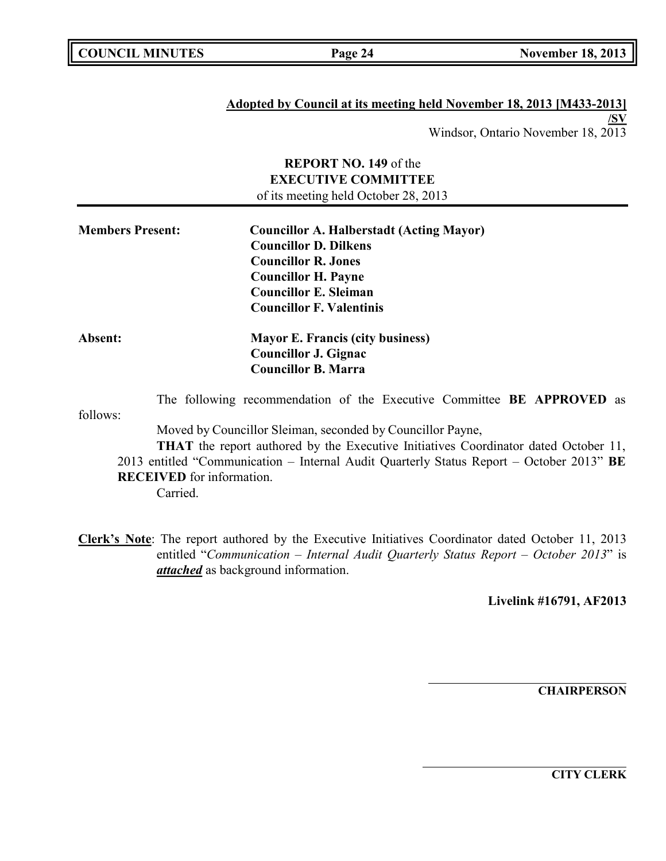#### **Adopted by Council at its meeting held November 18, 2013 [M433-2013] /SV**

Windsor, Ontario November 18, 2013

# **REPORT NO. 149** of the **EXECUTIVE COMMITTEE** of its meeting held October 28, 2013 **Members Present: Councillor A. Halberstadt (Acting Mayor) Councillor D. Dilkens Councillor R. Jones Councillor H. Payne Councillor E. Sleiman Councillor F. Valentinis**

**Absent: Mayor E. Francis (city business) Councillor J. Gignac Councillor B. Marra**

follows: The following recommendation of the Executive Committee **BE APPROVED** as

Moved by Councillor Sleiman, seconded by Councillor Payne,

**THAT** the report authored by the Executive Initiatives Coordinator dated October 11, 2013 entitled "Communication – Internal Audit Quarterly Status Report – October 2013" **BE RECEIVED** for information.

Carried.

**Clerk's Note**: The report authored by the Executive Initiatives Coordinator dated October 11, 2013 entitled "*Communication – Internal Audit Quarterly Status Report – October 2013*" is *attached* as background information.

**Livelink #16791, AF2013**

**CHAIRPERSON**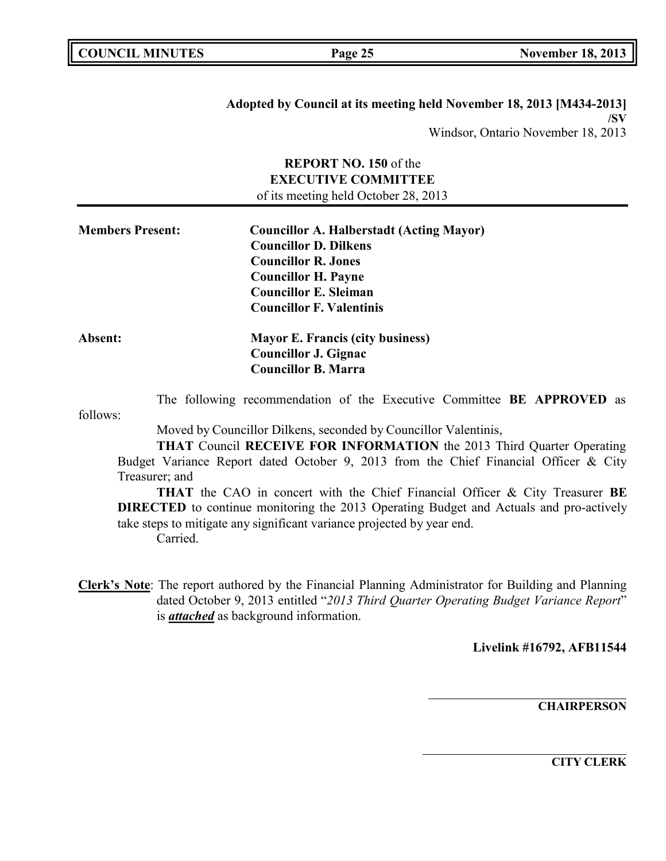| <b>COUNCIL MINUTES</b> |  |
|------------------------|--|
|------------------------|--|

**Adopted by Council at its meeting held November 18, 2013 [M434-2013] /SV** Windsor, Ontario November 18, 2013

## **REPORT NO. 150** of the **EXECUTIVE COMMITTEE** of its meeting held October 28, 2013

| <b>Members Present:</b> | <b>Councillor A. Halberstadt (Acting Mayor)</b> |  |
|-------------------------|-------------------------------------------------|--|
|                         | <b>Councillor D. Dilkens</b>                    |  |
|                         | <b>Councillor R. Jones</b>                      |  |
|                         | <b>Councillor H. Payne</b>                      |  |
|                         | <b>Councillor E. Sleiman</b>                    |  |
|                         | <b>Councillor F. Valentinis</b>                 |  |
| Absent:                 | <b>Mayor E. Francis (city business)</b>         |  |
|                         | <b>Councillor J. Gignac</b>                     |  |
|                         | <b>Councillor B. Marra</b>                      |  |

The following recommendation of the Executive Committee **BE APPROVED** as

follows:

Moved by Councillor Dilkens, seconded by Councillor Valentinis,

**THAT** Council **RECEIVE FOR INFORMATION** the 2013 Third Quarter Operating Budget Variance Report dated October 9, 2013 from the Chief Financial Officer & City Treasurer; and

**THAT** the CAO in concert with the Chief Financial Officer & City Treasurer **BE DIRECTED** to continue monitoring the 2013 Operating Budget and Actuals and pro-actively take steps to mitigate any significant variance projected by year end. Carried.

**Clerk's Note**: The report authored by the Financial Planning Administrator for Building and Planning dated October 9, 2013 entitled "*2013 Third Quarter Operating Budget Variance Report*" is *attached* as background information.

**Livelink #16792, AFB11544**

**CHAIRPERSON**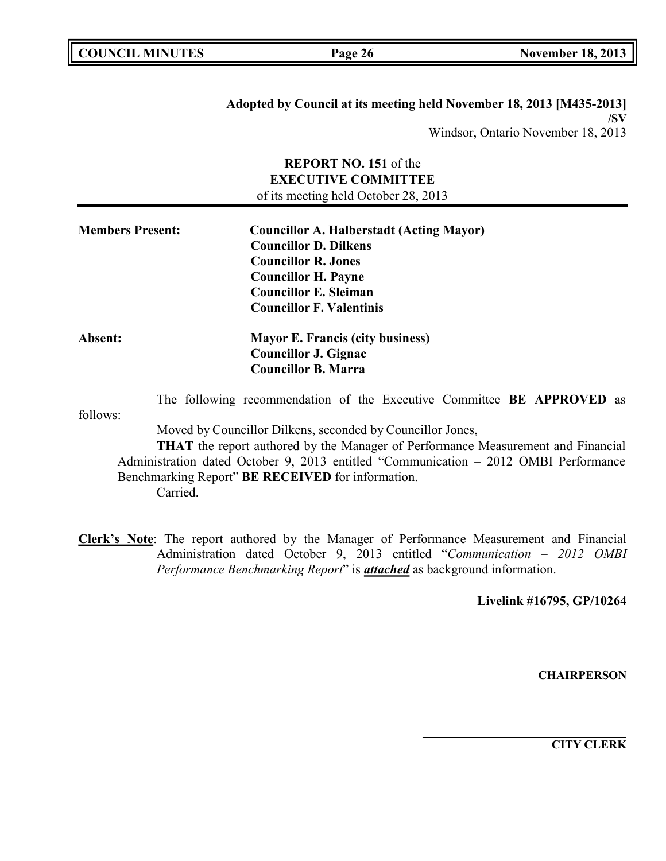| <b>COUNCIL MINUTES</b> |  |
|------------------------|--|
|------------------------|--|

**Adopted by Council at its meeting held November 18, 2013 [M435-2013] /SV** Windsor, Ontario November 18, 2013

## **REPORT NO. 151** of the **EXECUTIVE COMMITTEE** of its meeting held October 28, 2013

| <b>Members Present:</b> | <b>Councillor A. Halberstadt (Acting Mayor)</b><br><b>Councillor D. Dilkens</b> |  |
|-------------------------|---------------------------------------------------------------------------------|--|
|                         | <b>Councillor R. Jones</b>                                                      |  |
|                         | <b>Councillor H. Payne</b>                                                      |  |
|                         | <b>Councillor E. Sleiman</b>                                                    |  |
|                         | <b>Councillor F. Valentinis</b>                                                 |  |
| <b>Absent:</b>          | <b>Mayor E. Francis (city business)</b>                                         |  |
|                         | <b>Councillor J. Gignac</b>                                                     |  |
|                         | <b>Councillor B. Marra</b>                                                      |  |

follows: The following recommendation of the Executive Committee **BE APPROVED** as

Moved by Councillor Dilkens, seconded by Councillor Jones,

**THAT** the report authored by the Manager of Performance Measurement and Financial Administration dated October 9, 2013 entitled "Communication – 2012 OMBI Performance Benchmarking Report" **BE RECEIVED** for information. Carried.

**Clerk's Note**: The report authored by the Manager of Performance Measurement and Financial Administration dated October 9, 2013 entitled "*Communication – 2012 OMBI Performance Benchmarking Report*" is *attached* as background information.

**Livelink #16795, GP/10264**

**CHAIRPERSON**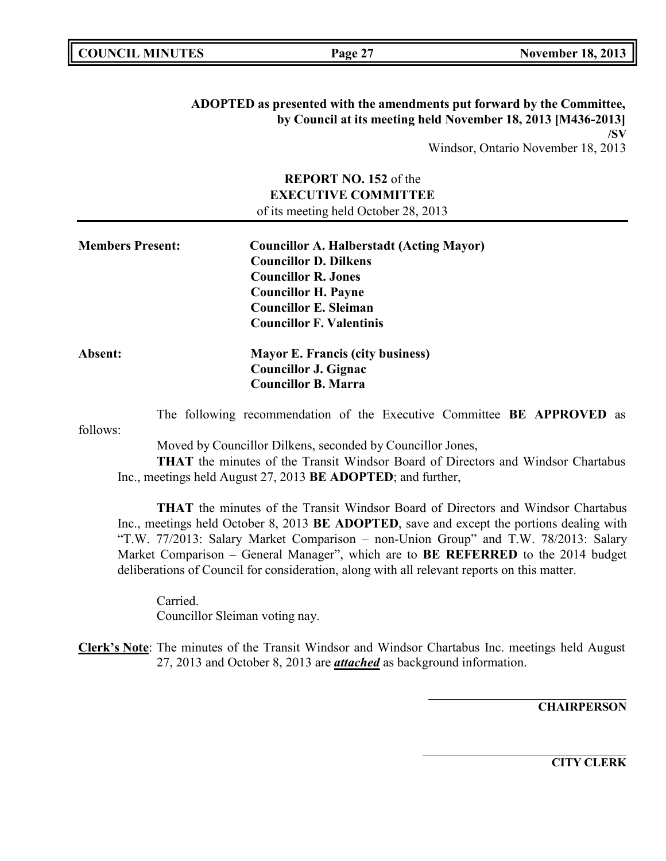| . .<br>L<br>MINHTFC<br>СH<br>M<br>N<br>$\sim$ $\sim$ | Page<br>O<br>- | 201<br>$\overline{\phantom{a}}$<br>O.<br>هجو معددا<br>ner<br>٠б.<br>$\sim$ |
|------------------------------------------------------|----------------|----------------------------------------------------------------------------|
|                                                      |                |                                                                            |

**ADOPTED as presented with the amendments put forward by the Committee, by Council at its meeting held November 18, 2013 [M436-2013] /SV** Windsor, Ontario November 18, 2013

> **REPORT NO. 152** of the **EXECUTIVE COMMITTEE** of its meeting held October 28, 2013

| <b>Members Present:</b> | <b>Councillor A. Halberstadt (Acting Mayor)</b> |  |
|-------------------------|-------------------------------------------------|--|
|                         | <b>Councillor D. Dilkens</b>                    |  |
|                         | <b>Councillor R. Jones</b>                      |  |
|                         | <b>Councillor H. Payne</b>                      |  |
|                         | <b>Councillor E. Sleiman</b>                    |  |
|                         | <b>Councillor F. Valentinis</b>                 |  |
| <b>Absent:</b>          | <b>Mayor E. Francis (city business)</b>         |  |
|                         | <b>Councillor J. Gignac</b>                     |  |
|                         | <b>Councillor B. Marra</b>                      |  |

The following recommendation of the Executive Committee **BE APPROVED** as

follows:

Moved by Councillor Dilkens, seconded by Councillor Jones,

**THAT** the minutes of the Transit Windsor Board of Directors and Windsor Chartabus Inc., meetings held August 27, 2013 **BE ADOPTED**; and further,

**THAT** the minutes of the Transit Windsor Board of Directors and Windsor Chartabus Inc., meetings held October 8, 2013 **BE ADOPTED**, save and except the portions dealing with "T.W. 77/2013: Salary Market Comparison – non-Union Group" and T.W. 78/2013: Salary Market Comparison – General Manager", which are to **BE REFERRED** to the 2014 budget deliberations of Council for consideration, along with all relevant reports on this matter.

Carried. Councillor Sleiman voting nay.

**CHAIRPERSON**

**Clerk's Note**: The minutes of the Transit Windsor and Windsor Chartabus Inc. meetings held August 27, 2013 and October 8, 2013 are *attached* as background information.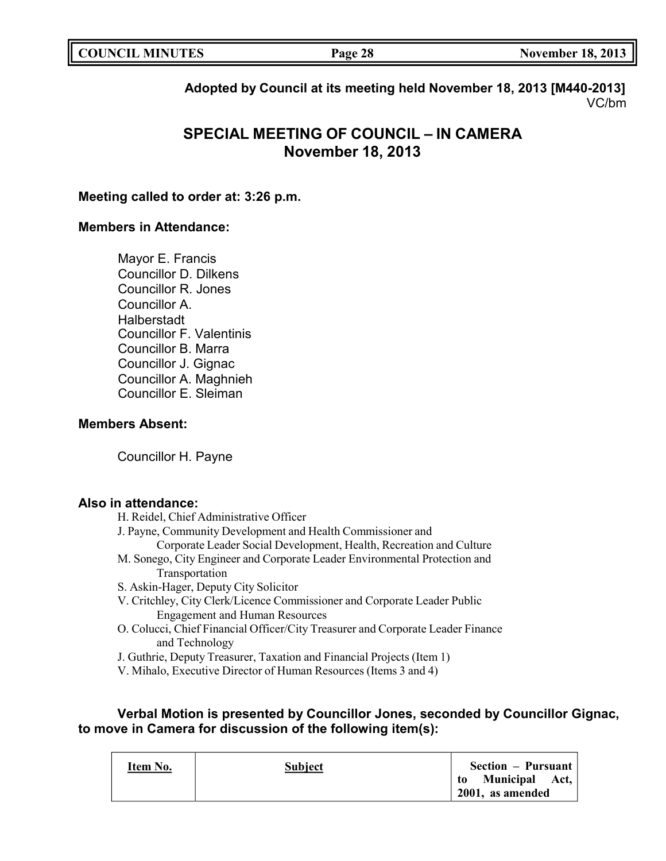| <b>COUNCIL MINUTES</b> | Page 28 | <b>November 18, 2013</b> |
|------------------------|---------|--------------------------|
|                        |         |                          |

**Adopted by Council at its meeting held November 18, 2013 [M440-2013]** VC/bm

# **SPECIAL MEETING OF COUNCIL – IN CAMERA November 18, 2013**

## **Meeting called to order at: 3:26 p.m.**

## **Members in Attendance:**

Mayor E. Francis Councillor D. Dilkens Councillor R. Jones Councillor A. Halberstadt Councillor F. Valentinis Councillor B. Marra Councillor J. Gignac Councillor A. Maghnieh Councillor E. Sleiman

## **Members Absent:**

Councillor H. Payne

### **Also in attendance:**

- H. Reidel, Chief Administrative Officer
- J. Payne, Community Development and Health Commissioner and
- Corporate Leader Social Development, Health, Recreation and Culture
- M. Sonego, City Engineer and Corporate Leader Environmental Protection and Transportation
- S. Askin-Hager, Deputy City Solicitor
- V. Critchley, City Clerk/Licence Commissioner and Corporate Leader Public Engagement and Human Resources
- O. Colucci, Chief Financial Officer/City Treasurer and Corporate Leader Finance and Technology
- J. Guthrie, Deputy Treasurer, Taxation and Financial Projects (Item 1)
- V. Mihalo, Executive Director of Human Resources (Items 3 and 4)

## **Verbal Motion is presented by Councillor Jones, seconded by Councillor Gignac, to move in Camera for discussion of the following item(s):**

| Item No. | <b>Subject</b> | <b>Section – Pursuant</b>             |
|----------|----------------|---------------------------------------|
|          |                | to Municipal Act,<br>2001, as amended |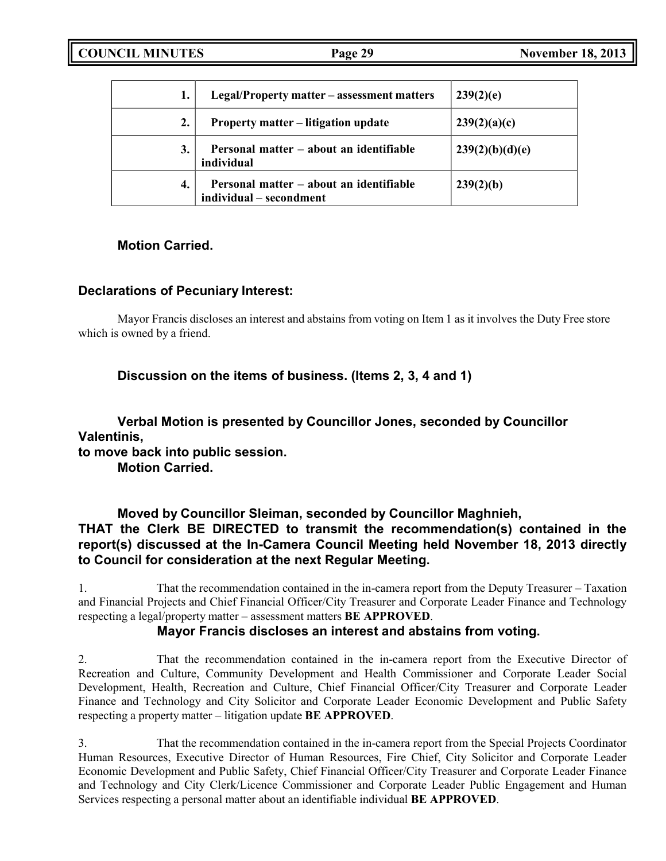|    | Legal/Property matter – assessment matters                         | 239(2)(e)       |
|----|--------------------------------------------------------------------|-----------------|
| 2. | <b>Property matter – litigation update</b>                         | 239(2)(a)(c)    |
| 3. | Personal matter – about an identifiable<br>individual              | 239(2)(b)(d)(e) |
| 4. | Personal matter – about an identifiable<br>individual – secondment | 239(2)(b)       |

## **Motion Carried.**

## **Declarations of Pecuniary Interest:**

Mayor Francis discloses an interest and abstains from voting on Item 1 as it involves the Duty Free store which is owned by a friend.

**Discussion on the items of business. (Items 2, 3, 4 and 1)**

**Verbal Motion is presented by Councillor Jones, seconded by Councillor Valentinis, to move back into public session.**

**Motion Carried.**

**Moved by Councillor Sleiman, seconded by Councillor Maghnieh, THAT the Clerk BE DIRECTED to transmit the recommendation(s) contained in the report(s) discussed at the In-Camera Council Meeting held November 18, 2013 directly to Council for consideration at the next Regular Meeting.**

1. That the recommendation contained in the in-camera report from the Deputy Treasurer – Taxation and Financial Projects and Chief Financial Officer/City Treasurer and Corporate Leader Finance and Technology respecting a legal/property matter – assessment matters **BE APPROVED**.

## **Mayor Francis discloses an interest and abstains from voting.**

2. That the recommendation contained in the in-camera report from the Executive Director of Recreation and Culture, Community Development and Health Commissioner and Corporate Leader Social Development, Health, Recreation and Culture, Chief Financial Officer/City Treasurer and Corporate Leader Finance and Technology and City Solicitor and Corporate Leader Economic Development and Public Safety respecting a property matter – litigation update **BE APPROVED**.

3. That the recommendation contained in the in-camera report from the Special Projects Coordinator Human Resources, Executive Director of Human Resources, Fire Chief, City Solicitor and Corporate Leader Economic Development and Public Safety, Chief Financial Officer/City Treasurer and Corporate Leader Finance and Technology and City Clerk/Licence Commissioner and Corporate Leader Public Engagement and Human Services respecting a personal matter about an identifiable individual **BE APPROVED**.